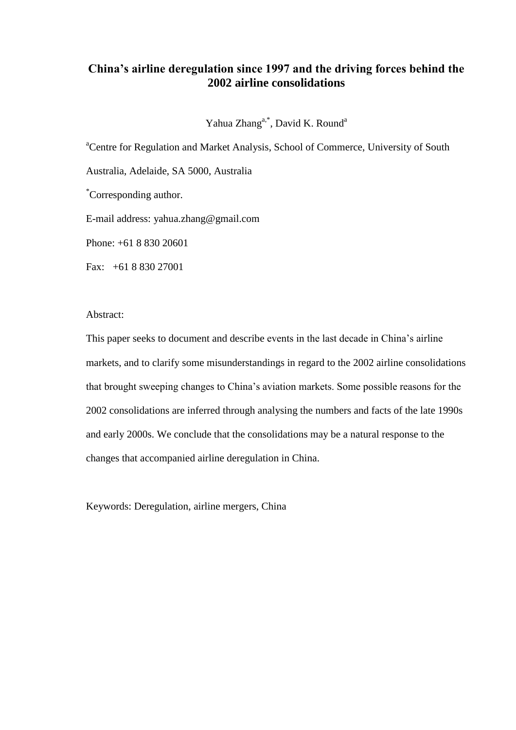# **China's airline deregulation since 1997 and the driving forces behind the 2002 airline consolidations**

Yahua Zhang<sup>a,\*</sup>, David K. Round<sup>a</sup>

<sup>a</sup>Centre for Regulation and Market Analysis, School of Commerce, University of South

Australia, Adelaide, SA 5000, Australia

\*Corresponding author.

E-mail address: yahua.zhang@gmail.com

Phone: +61 8 830 20601

Fax: +61 8 830 27001

Abstract:

This paper seeks to document and describe events in the last decade in China's airline markets, and to clarify some misunderstandings in regard to the 2002 airline consolidations that brought sweeping changes to China's aviation markets. Some possible reasons for the 2002 consolidations are inferred through analysing the numbers and facts of the late 1990s and early 2000s. We conclude that the consolidations may be a natural response to the changes that accompanied airline deregulation in China.

Keywords: Deregulation, airline mergers, China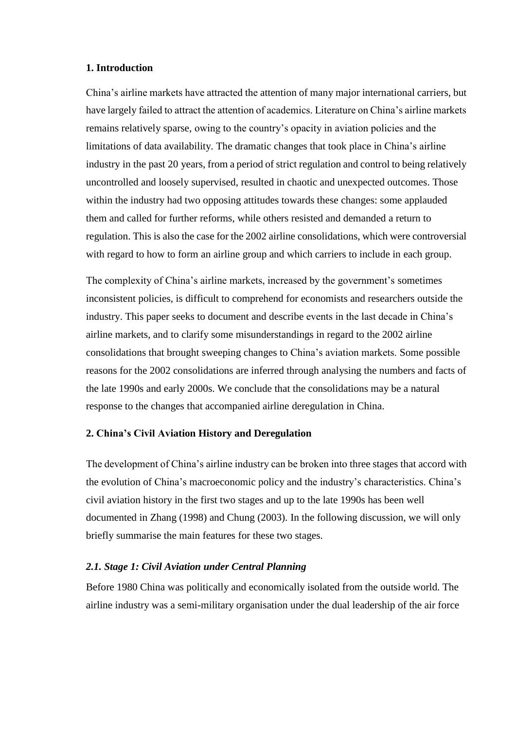### **1. Introduction**

China's airline markets have attracted the attention of many major international carriers, but have largely failed to attract the attention of academics. Literature on China's airline markets remains relatively sparse, owing to the country's opacity in aviation policies and the limitations of data availability. The dramatic changes that took place in China's airline industry in the past 20 years, from a period of strict regulation and control to being relatively uncontrolled and loosely supervised, resulted in chaotic and unexpected outcomes. Those within the industry had two opposing attitudes towards these changes: some applauded them and called for further reforms, while others resisted and demanded a return to regulation. This is also the case for the 2002 airline consolidations, which were controversial with regard to how to form an airline group and which carriers to include in each group.

The complexity of China's airline markets, increased by the government's sometimes inconsistent policies, is difficult to comprehend for economists and researchers outside the industry. This paper seeks to document and describe events in the last decade in China's airline markets, and to clarify some misunderstandings in regard to the 2002 airline consolidations that brought sweeping changes to China's aviation markets. Some possible reasons for the 2002 consolidations are inferred through analysing the numbers and facts of the late 1990s and early 2000s. We conclude that the consolidations may be a natural response to the changes that accompanied airline deregulation in China.

### **2. China's Civil Aviation History and Deregulation**

The development of China's airline industry can be broken into three stages that accord with the evolution of China's macroeconomic policy and the industry's characteristics. China's civil aviation history in the first two stages and up to the late 1990s has been well documented in Zhang (1998) and Chung (2003). In the following discussion, we will only briefly summarise the main features for these two stages.

### *2.1. Stage 1: Civil Aviation under Central Planning*

Before 1980 China was politically and economically isolated from the outside world. The airline industry was a semi-military organisation under the dual leadership of the air force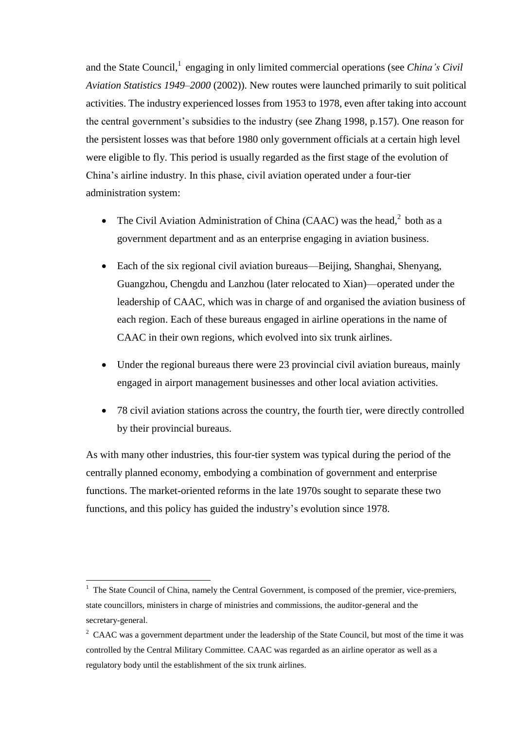and the State Council,<sup>1</sup> engaging in only limited commercial operations (see *China's Civil Aviation Statistics 1949–2000* (2002)). New routes were launched primarily to suit political activities. The industry experienced losses from 1953 to 1978, even after taking into account the central government's subsidies to the industry (see Zhang 1998, p.157). One reason for the persistent losses was that before 1980 only government officials at a certain high level were eligible to fly. This period is usually regarded as the first stage of the evolution of China's airline industry. In this phase, civil aviation operated under a four-tier administration system:

- The Civil Aviation Administration of China (CAAC) was the head,<sup>2</sup> both as a government department and as an enterprise engaging in aviation business.
- Each of the six regional civil aviation bureaus—Beijing, Shanghai, Shenyang, Guangzhou, Chengdu and Lanzhou (later relocated to Xian)—operated under the leadership of CAAC, which was in charge of and organised the aviation business of each region. Each of these bureaus engaged in airline operations in the name of CAAC in their own regions, which evolved into six trunk airlines.
- Under the regional bureaus there were 23 provincial civil aviation bureaus, mainly engaged in airport management businesses and other local aviation activities.
- 78 civil aviation stations across the country, the fourth tier, were directly controlled by their provincial bureaus.

As with many other industries, this four-tier system was typical during the period of the centrally planned economy, embodying a combination of government and enterprise functions. The market-oriented reforms in the late 1970s sought to separate these two functions, and this policy has guided the industry's evolution since 1978.

 $1$  The State Council of China, namely the Central Government, is composed of the premier, vice-premiers, state councillors, ministers in charge of ministries and commissions, the auditor-general and the secretary-general.

 $2^{\circ}$  CAAC was a government department under the leadership of the State Council, but most of the time it was controlled by the Central Military Committee. CAAC was regarded as an airline operator as well as a regulatory body until the establishment of the six trunk airlines.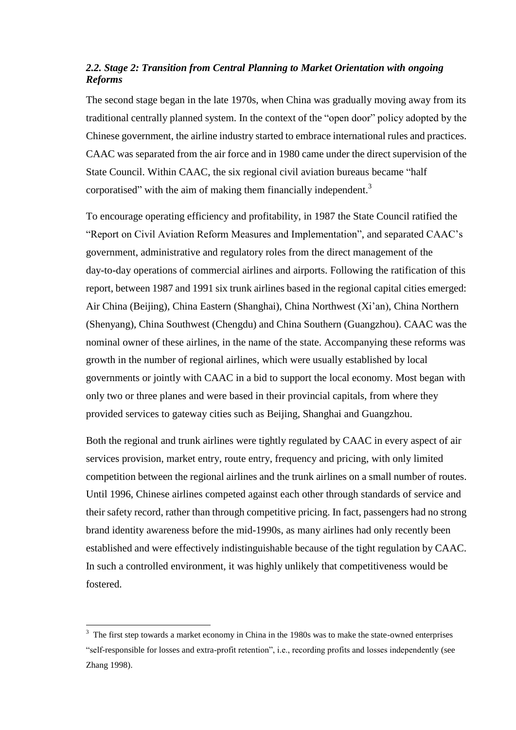## *2.2. Stage 2: Transition from Central Planning to Market Orientation with ongoing Reforms*

The second stage began in the late 1970s, when China was gradually moving away from its traditional centrally planned system. In the context of the "open door" policy adopted by the Chinese government, the airline industry started to embrace international rules and practices. CAAC was separated from the air force and in 1980 came under the direct supervision of the State Council. Within CAAC, the six regional civil aviation bureaus became "half corporatised" with the aim of making them financially independent.<sup>3</sup>

To encourage operating efficiency and profitability, in 1987 the State Council ratified the "Report on Civil Aviation Reform Measures and Implementation", and separated CAAC's government, administrative and regulatory roles from the direct management of the day-to-day operations of commercial airlines and airports. Following the ratification of this report, between 1987 and 1991 six trunk airlines based in the regional capital cities emerged: Air China (Beijing), China Eastern (Shanghai), China Northwest (Xi'an), China Northern (Shenyang), China Southwest (Chengdu) and China Southern (Guangzhou). CAAC was the nominal owner of these airlines, in the name of the state. Accompanying these reforms was growth in the number of regional airlines, which were usually established by local governments or jointly with CAAC in a bid to support the local economy. Most began with only two or three planes and were based in their provincial capitals, from where they provided services to gateway cities such as Beijing, Shanghai and Guangzhou.

Both the regional and trunk airlines were tightly regulated by CAAC in every aspect of air services provision, market entry, route entry, frequency and pricing, with only limited competition between the regional airlines and the trunk airlines on a small number of routes. Until 1996, Chinese airlines competed against each other through standards of service and their safety record, rather than through competitive pricing. In fact, passengers had no strong brand identity awareness before the mid-1990s, as many airlines had only recently been established and were effectively indistinguishable because of the tight regulation by CAAC. In such a controlled environment, it was highly unlikely that competitiveness would be fostered.

 $3\text{ }$  The first step towards a market economy in China in the 1980s was to make the state-owned enterprises ―self-responsible for losses and extra-profit retention‖, i.e., recording profits and losses independently (see Zhang 1998).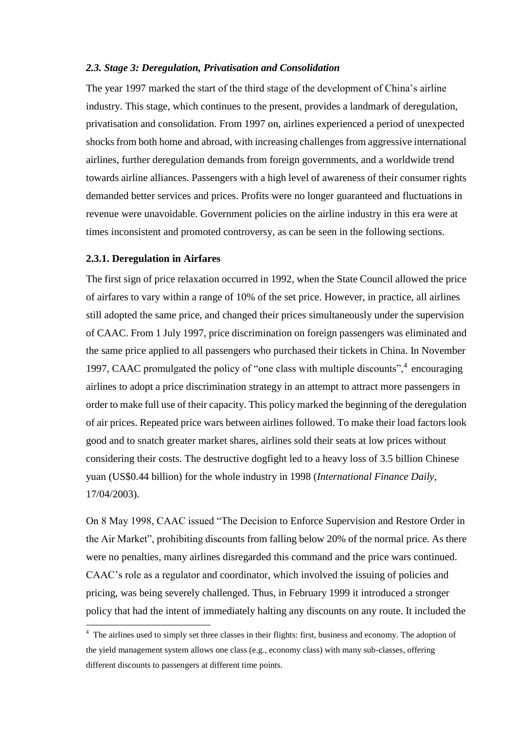#### *2.3. Stage 3: Deregulation, Privatisation and Consolidation*

The year 1997 marked the start of the third stage of the development of China's airline industry. This stage, which continues to the present, provides a landmark of deregulation, privatisation and consolidation. From 1997 on, airlines experienced a period of unexpected shocks from both home and abroad, with increasing challenges from aggressive international airlines, further deregulation demands from foreign governments, and a worldwide trend towards airline alliances. Passengers with a high level of awareness of their consumer rights demanded better services and prices. Profits were no longer guaranteed and fluctuations in revenue were unavoidable. Government policies on the airline industry in this era were at times inconsistent and promoted controversy, as can be seen in the following sections.

### **2.3.1. Deregulation in Airfares**

 $\overline{a}$ 

The first sign of price relaxation occurred in 1992, when the State Council allowed the price of airfares to vary within a range of 10% of the set price. However, in practice, all airlines still adopted the same price, and changed their prices simultaneously under the supervision of CAAC. From 1 July 1997, price discrimination on foreign passengers was eliminated and the same price applied to all passengers who purchased their tickets in China. In November 1997, CAAC promulgated the policy of "one class with multiple discounts",<sup>4</sup> encouraging airlines to adopt a price discrimination strategy in an attempt to attract more passengers in order to make full use of their capacity. This policy marked the beginning of the deregulation of air prices. Repeated price wars between airlines followed. To make their load factors look good and to snatch greater market shares, airlines sold their seats at low prices without considering their costs. The destructive dogfight led to a heavy loss of 3.5 billion Chinese yuan (US\$0.44 billion) for the whole industry in 1998 (*International Finance Daily*, 17/04/2003).

On 8 May 1998, CAAC issued "The Decision to Enforce Supervision and Restore Order in the Air Market", prohibiting discounts from falling below 20% of the normal price. As there were no penalties, many airlines disregarded this command and the price wars continued. CAAC's role as a regulator and coordinator, which involved the issuing of policies and pricing, was being severely challenged. Thus, in February 1999 it introduced a stronger policy that had the intent of immediately halting any discounts on any route. It included the

<sup>&</sup>lt;sup>4</sup> The airlines used to simply set three classes in their flights: first, business and economy. The adoption of the yield management system allows one class (e.g., economy class) with many sub-classes, offering different discounts to passengers at different time points.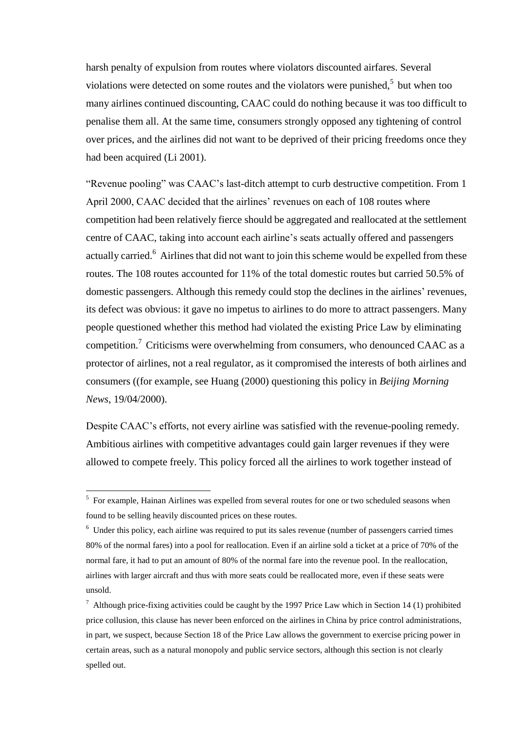harsh penalty of expulsion from routes where violators discounted airfares. Several violations were detected on some routes and the violators were punished, $5$  but when too many airlines continued discounting, CAAC could do nothing because it was too difficult to penalise them all. At the same time, consumers strongly opposed any tightening of control over prices, and the airlines did not want to be deprived of their pricing freedoms once they had been acquired (Li 2001).

"Revenue pooling" was CAAC's last-ditch attempt to curb destructive competition. From 1 April 2000, CAAC decided that the airlines' revenues on each of 108 routes where competition had been relatively fierce should be aggregated and reallocated at the settlement centre of CAAC, taking into account each airline's seats actually offered and passengers actually carried.<sup>6</sup> Airlines that did not want to join this scheme would be expelled from these routes. The 108 routes accounted for 11% of the total domestic routes but carried 50.5% of domestic passengers. Although this remedy could stop the declines in the airlines' revenues, its defect was obvious: it gave no impetus to airlines to do more to attract passengers. Many people questioned whether this method had violated the existing Price Law by eliminating competition.<sup>7</sup> Criticisms were overwhelming from consumers, who denounced CAAC as a protector of airlines, not a real regulator, as it compromised the interests of both airlines and consumers ((for example, see Huang (2000) questioning this policy in *Beijing Morning News*, 19/04/2000).

Despite CAAC's efforts, not every airline was satisfied with the revenue-pooling remedy. Ambitious airlines with competitive advantages could gain larger revenues if they were allowed to compete freely. This policy forced all the airlines to work together instead of

 5 For example, Hainan Airlines was expelled from several routes for one or two scheduled seasons when found to be selling heavily discounted prices on these routes.

 $<sup>6</sup>$  Under this policy, each airline was required to put its sales revenue (number of passengers carried times</sup> 80% of the normal fares) into a pool for reallocation. Even if an airline sold a ticket at a price of 70% of the normal fare, it had to put an amount of 80% of the normal fare into the revenue pool. In the reallocation, airlines with larger aircraft and thus with more seats could be reallocated more, even if these seats were unsold.

<sup>&</sup>lt;sup>7</sup> Although price-fixing activities could be caught by the 1997 Price Law which in Section 14 (1) prohibited price collusion, this clause has never been enforced on the airlines in China by price control administrations, in part, we suspect, because Section 18 of the Price Law allows the government to exercise pricing power in certain areas, such as a natural monopoly and public service sectors, although this section is not clearly spelled out.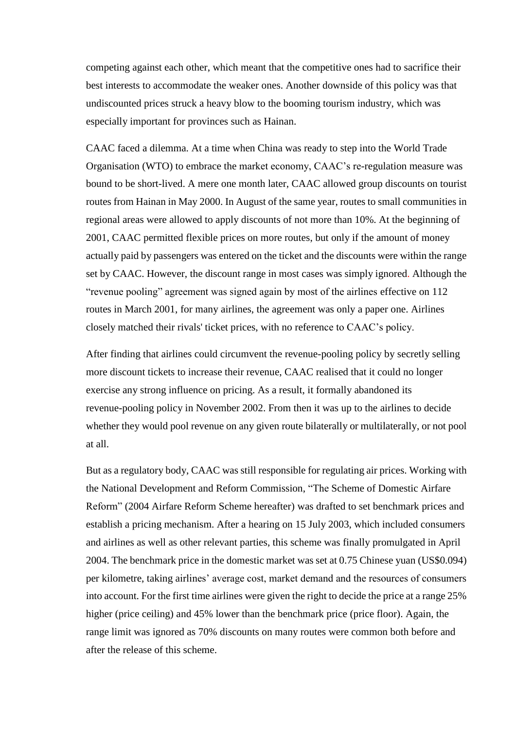competing against each other, which meant that the competitive ones had to sacrifice their best interests to accommodate the weaker ones. Another downside of this policy was that undiscounted prices struck a heavy blow to the booming tourism industry, which was especially important for provinces such as Hainan.

CAAC faced a dilemma. At a time when China was ready to step into the World Trade Organisation (WTO) to embrace the market economy, CAAC's re-regulation measure was bound to be short-lived. A mere one month later, CAAC allowed group discounts on tourist routes from Hainan in May 2000. In August of the same year, routes to small communities in regional areas were allowed to apply discounts of not more than 10%. At the beginning of 2001, CAAC permitted flexible prices on more routes, but only if the amount of money actually paid by passengers was entered on the ticket and the discounts were within the range set by CAAC. However, the discount range in most cases was simply ignored. Although the "revenue pooling" agreement was signed again by most of the airlines effective on  $112$ routes in March 2001, for many airlines, the agreement was only a paper one. Airlines closely matched their rivals' ticket prices, with no reference to CAAC's policy.

After finding that airlines could circumvent the revenue-pooling policy by secretly selling more discount tickets to increase their revenue, CAAC realised that it could no longer exercise any strong influence on pricing. As a result, it formally abandoned its revenue-pooling policy in November 2002. From then it was up to the airlines to decide whether they would pool revenue on any given route bilaterally or multilaterally, or not pool at all.

But as a regulatory body, CAAC was still responsible for regulating air prices. Working with the National Development and Reform Commission, "The Scheme of Domestic Airfare" Reform" (2004 Airfare Reform Scheme hereafter) was drafted to set benchmark prices and establish a pricing mechanism. After a hearing on 15 July 2003, which included consumers and airlines as well as other relevant parties, this scheme was finally promulgated in April 2004. The benchmark price in the domestic market was set at 0.75 Chinese yuan (US\$0.094) per kilometre, taking airlines' average cost, market demand and the resources of consumers into account. For the first time airlines were given the right to decide the price at a range 25% higher (price ceiling) and 45% lower than the benchmark price (price floor). Again, the range limit was ignored as 70% discounts on many routes were common both before and after the release of this scheme.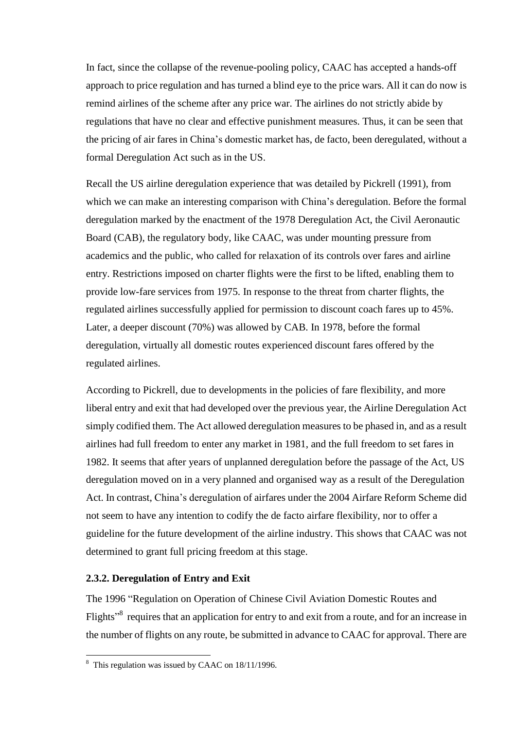In fact, since the collapse of the revenue-pooling policy, CAAC has accepted a hands-off approach to price regulation and has turned a blind eye to the price wars. All it can do now is remind airlines of the scheme after any price war. The airlines do not strictly abide by regulations that have no clear and effective punishment measures. Thus, it can be seen that the pricing of air fares in China's domestic market has, de facto, been deregulated, without a formal Deregulation Act such as in the US.

Recall the US airline deregulation experience that was detailed by Pickrell (1991), from which we can make an interesting comparison with China's deregulation. Before the formal deregulation marked by the enactment of the 1978 Deregulation Act, the Civil Aeronautic Board (CAB), the regulatory body, like CAAC, was under mounting pressure from academics and the public, who called for relaxation of its controls over fares and airline entry. Restrictions imposed on charter flights were the first to be lifted, enabling them to provide low-fare services from 1975. In response to the threat from charter flights, the regulated airlines successfully applied for permission to discount coach fares up to 45%. Later, a deeper discount (70%) was allowed by CAB. In 1978, before the formal deregulation, virtually all domestic routes experienced discount fares offered by the regulated airlines.

According to Pickrell, due to developments in the policies of fare flexibility, and more liberal entry and exit that had developed over the previous year, the Airline Deregulation Act simply codified them. The Act allowed deregulation measures to be phased in, and as a result airlines had full freedom to enter any market in 1981, and the full freedom to set fares in 1982. It seems that after years of unplanned deregulation before the passage of the Act, US deregulation moved on in a very planned and organised way as a result of the Deregulation Act. In contrast, China's deregulation of airfares under the 2004 Airfare Reform Scheme did not seem to have any intention to codify the de facto airfare flexibility, nor to offer a guideline for the future development of the airline industry. This shows that CAAC was not determined to grant full pricing freedom at this stage.

### **2.3.2. Deregulation of Entry and Exit**

 $\overline{a}$ 

The 1996 "Regulation on Operation of Chinese Civil Aviation Domestic Routes and Flights<sup>38</sup> requires that an application for entry to and exit from a route, and for an increase in the number of flights on any route, be submitted in advance to CAAC for approval. There are

 $8$  This regulation was issued by CAAC on 18/11/1996.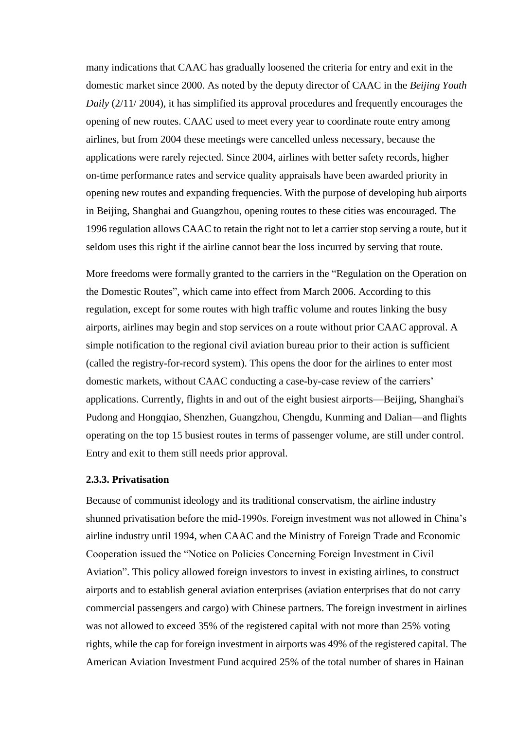many indications that CAAC has gradually loosened the criteria for entry and exit in the domestic market since 2000. As noted by the deputy director of CAAC in the *Beijing Youth Daily* (2/11/ 2004), it has simplified its approval procedures and frequently encourages the opening of new routes. CAAC used to meet every year to coordinate route entry among airlines, but from 2004 these meetings were cancelled unless necessary, because the applications were rarely rejected. Since 2004, airlines with better safety records, higher on-time performance rates and service quality appraisals have been awarded priority in opening new routes and expanding frequencies. With the purpose of developing hub airports in Beijing, Shanghai and Guangzhou, opening routes to these cities was encouraged. The 1996 regulation allows CAAC to retain the right not to let a carrier stop serving a route, but it seldom uses this right if the airline cannot bear the loss incurred by serving that route.

More freedoms were formally granted to the carriers in the "Regulation on the Operation on the Domestic Routes", which came into effect from March 2006. According to this regulation, except for some routes with high traffic volume and routes linking the busy airports, airlines may begin and stop services on a route without prior CAAC approval. A simple notification to the regional civil aviation bureau prior to their action is sufficient (called the registry-for-record system). This opens the door for the airlines to enter most domestic markets, without CAAC conducting a case-by-case review of the carriers' applications. Currently, flights in and out of the eight busiest airports—Beijing, Shanghai's Pudong and Hongqiao, Shenzhen, Guangzhou, Chengdu, Kunming and Dalian—and flights operating on the top 15 busiest routes in terms of passenger volume, are still under control. Entry and exit to them still needs prior approval.

#### **2.3.3. Privatisation**

Because of communist ideology and its traditional conservatism, the airline industry shunned privatisation before the mid-1990s. Foreign investment was not allowed in China's airline industry until 1994, when CAAC and the Ministry of Foreign Trade and Economic Cooperation issued the "Notice on Policies Concerning Foreign Investment in Civil Aviation". This policy allowed foreign investors to invest in existing airlines, to construct airports and to establish general aviation enterprises (aviation enterprises that do not carry commercial passengers and cargo) with Chinese partners. The foreign investment in airlines was not allowed to exceed 35% of the registered capital with not more than 25% voting rights, while the cap for foreign investment in airports was 49% of the registered capital. The American Aviation Investment Fund acquired 25% of the total number of shares in Hainan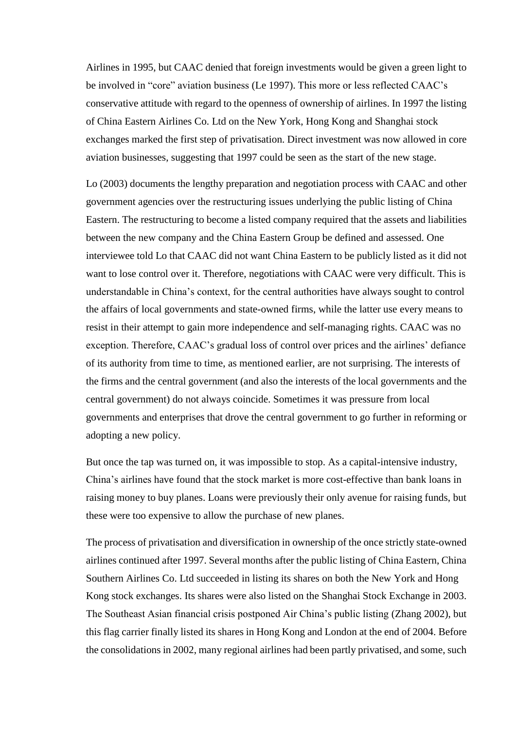Airlines in 1995, but CAAC denied that foreign investments would be given a green light to be involved in "core" aviation business (Le 1997). This more or less reflected CAAC's conservative attitude with regard to the openness of ownership of airlines. In 1997 the listing of China Eastern Airlines Co. Ltd on the New York, Hong Kong and Shanghai stock exchanges marked the first step of privatisation. Direct investment was now allowed in core aviation businesses, suggesting that 1997 could be seen as the start of the new stage.

Lo (2003) documents the lengthy preparation and negotiation process with CAAC and other government agencies over the restructuring issues underlying the public listing of China Eastern. The restructuring to become a listed company required that the assets and liabilities between the new company and the China Eastern Group be defined and assessed. One interviewee told Lo that CAAC did not want China Eastern to be publicly listed as it did not want to lose control over it. Therefore, negotiations with CAAC were very difficult. This is understandable in China's context, for the central authorities have always sought to control the affairs of local governments and state-owned firms, while the latter use every means to resist in their attempt to gain more independence and self-managing rights. CAAC was no exception. Therefore, CAAC's gradual loss of control over prices and the airlines' defiance of its authority from time to time, as mentioned earlier, are not surprising. The interests of the firms and the central government (and also the interests of the local governments and the central government) do not always coincide. Sometimes it was pressure from local governments and enterprises that drove the central government to go further in reforming or adopting a new policy.

But once the tap was turned on, it was impossible to stop. As a capital-intensive industry, China's airlines have found that the stock market is more cost-effective than bank loans in raising money to buy planes. Loans were previously their only avenue for raising funds, but these were too expensive to allow the purchase of new planes.

The process of privatisation and diversification in ownership of the once strictly state-owned airlines continued after 1997. Several months after the public listing of China Eastern, China Southern Airlines Co. Ltd succeeded in listing its shares on both the New York and Hong Kong stock exchanges. Its shares were also listed on the Shanghai Stock Exchange in 2003. The Southeast Asian financial crisis postponed Air China's public listing (Zhang 2002), but this flag carrier finally listed its shares in Hong Kong and London at the end of 2004. Before the consolidations in 2002, many regional airlines had been partly privatised, and some, such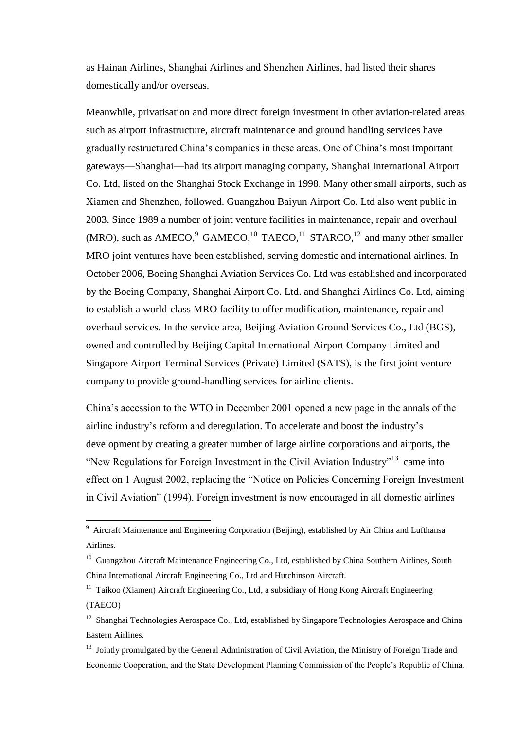as Hainan Airlines, Shanghai Airlines and Shenzhen Airlines, had listed their shares domestically and/or overseas.

Meanwhile, privatisation and more direct foreign investment in other aviation-related areas such as airport infrastructure, aircraft maintenance and ground handling services have gradually restructured China's companies in these areas. One of China's most important gateways—Shanghai—had its airport managing company, Shanghai International Airport Co. Ltd, listed on the Shanghai Stock Exchange in 1998. Many other small airports, such as Xiamen and Shenzhen, followed. Guangzhou Baiyun Airport Co. Ltd also went public in 2003. Since 1989 a number of joint venture facilities in maintenance, repair and overhaul (MRO), such as AMECO,<sup>9</sup> GAMECO,<sup>10</sup> TAECO,<sup>11</sup> STARCO,<sup>12</sup> and many other smaller MRO joint ventures have been established, serving domestic and international airlines. In October 2006, Boeing Shanghai Aviation Services Co. Ltd was established and incorporated by the Boeing Company, Shanghai Airport Co. Ltd. and Shanghai Airlines Co. Ltd, aiming to establish a world-class MRO facility to offer modification, maintenance, repair and overhaul services. In the service area, Beijing Aviation Ground Services Co., Ltd (BGS), owned and controlled by Beijing Capital International Airport Company Limited and Singapore Airport Terminal Services (Private) Limited (SATS), is the first joint venture company to provide ground-handling services for airline clients.

China's accession to the WTO in December 2001 opened a new page in the annals of the airline industry's reform and deregulation. To accelerate and boost the industry's development by creating a greater number of large airline corporations and airports, the "New Regulations for Foreign Investment in the Civil Aviation Industry"<sup>13</sup> came into effect on 1 August 2002, replacing the "Notice on Policies Concerning Foreign Investment in Civil Aviation" (1994). Foreign investment is now encouraged in all domestic airlines

<sup>&</sup>lt;sup>9</sup> Aircraft Maintenance and Engineering Corporation (Beijing), established by Air China and Lufthansa Airlines.

<sup>&</sup>lt;sup>10</sup> Guangzhou Aircraft Maintenance Engineering Co., Ltd, established by China Southern Airlines, South China International Aircraft Engineering Co., Ltd and Hutchinson Aircraft.

<sup>&</sup>lt;sup>11</sup> [Taikoo \(Xiamen\) Aircraft Engineering Co., Ltd,](http://www.taeco.com/subpages/service_lcab.html) a subsidiary of Hong Kong Aircraft Engineering (TAECO)

<sup>&</sup>lt;sup>12</sup> Shanghai Technologies Aerospace Co., Ltd, established by Singapore Technologies Aerospace and China Eastern Airlines.

<sup>&</sup>lt;sup>13</sup> Jointly promulgated by the General Administration of Civil Aviation, the Ministry of Foreign Trade and Economic Cooperation, and the State Development Planning Commission of the People's Republic of China.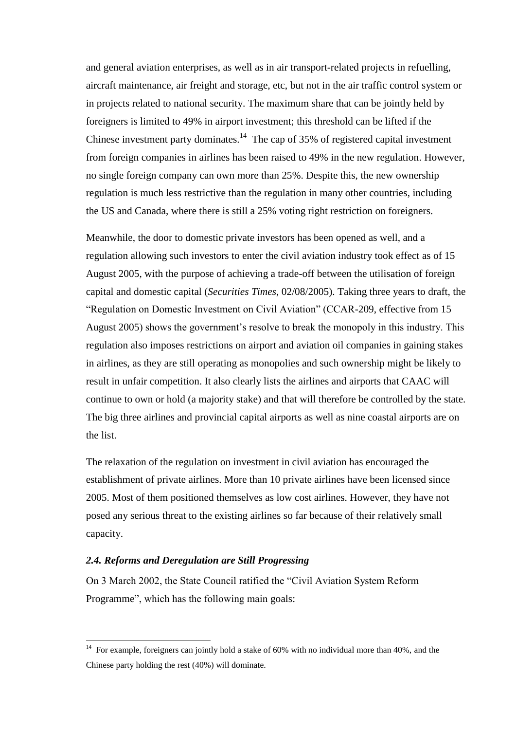and general aviation enterprises, as well as in air transport-related projects in refuelling, aircraft maintenance, air freight and storage, etc, but not in the air traffic control system or in projects related to national security. The maximum share that can be jointly held by foreigners is limited to 49% in airport investment; this threshold can be lifted if the Chinese investment party dominates.<sup>14</sup> The cap of  $35\%$  of registered capital investment from foreign companies in airlines has been raised to 49% in the new regulation. However, no single foreign company can own more than 25%. Despite this, the new ownership regulation is much less restrictive than the regulation in many other countries, including the US and Canada, where there is still a 25% voting right restriction on foreigners.

Meanwhile, the door to domestic private investors has been opened as well, and a regulation allowing such investors to enter the civil aviation industry took effect as of 15 August 2005, with the purpose of achieving a trade-off between the utilisation of foreign capital and domestic capital (*Securities Times*, 02/08/2005). Taking three years to draft, the "Regulation on Domestic Investment on Civil Aviation" (CCAR-209, effective from 15 August 2005) shows the government's resolve to break the monopoly in this industry. This regulation also imposes restrictions on airport and aviation oil companies in gaining stakes in airlines, as they are still operating as monopolies and such ownership might be likely to result in unfair competition. It also clearly lists the airlines and airports that CAAC will continue to own or hold (a majority stake) and that will therefore be controlled by the state. The big three airlines and provincial capital airports as well as nine coastal airports are on the list.

The relaxation of the regulation on investment in civil aviation has encouraged the establishment of private airlines. More than 10 private airlines have been licensed since 2005. Most of them positioned themselves as low cost airlines. However, they have not posed any serious threat to the existing airlines so far because of their relatively small capacity.

### *2.4. Reforms and Deregulation are Still Progressing*

 $\overline{a}$ 

On 3 March 2002, the State Council ratified the "Civil Aviation System Reform Programme", which has the following main goals:

 $14$  For example, foreigners can jointly hold a stake of 60% with no individual more than 40%, and the Chinese party holding the rest (40%) will dominate.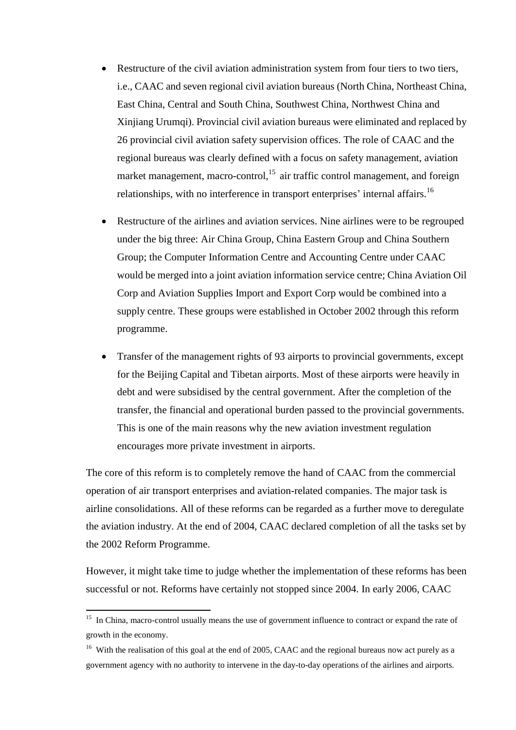- Restructure of the civil aviation administration system from four tiers to two tiers, i.e., CAAC and seven regional civil aviation bureaus (North China, Northeast China, East China, Central and South China, Southwest China, Northwest China and Xinjiang Urumqi). Provincial civil aviation bureaus were eliminated and replaced by 26 provincial civil aviation safety supervision offices. The role of CAAC and the regional bureaus was clearly defined with a focus on safety management, aviation market management, macro-control,<sup>15</sup> air traffic control management, and foreign relationships, with no interference in transport enterprises' internal affairs.<sup>16</sup>
- Restructure of the airlines and aviation services. Nine airlines were to be regrouped under the big three: Air China Group, China Eastern Group and China Southern Group; the Computer Information Centre and Accounting Centre under CAAC would be merged into a joint aviation information service centre; China Aviation Oil Corp and Aviation Supplies Import and Export Corp would be combined into a supply centre. These groups were established in October 2002 through this reform programme.
- Transfer of the management rights of 93 airports to provincial governments, except for the Beijing Capital and Tibetan airports. Most of these airports were heavily in debt and were subsidised by the central government. After the completion of the transfer, the financial and operational burden passed to the provincial governments. This is one of the main reasons why the new aviation investment regulation encourages more private investment in airports.

The core of this reform is to completely remove the hand of CAAC from the commercial operation of air transport enterprises and aviation-related companies. The major task is airline consolidations. All of these reforms can be regarded as a further move to deregulate the aviation industry. At the end of 2004, CAAC declared completion of all the tasks set by the 2002 Reform Programme.

However, it might take time to judge whether the implementation of these reforms has been successful or not. Reforms have certainly not stopped since 2004. In early 2006, CAAC

<sup>&</sup>lt;sup>15</sup> In China, macro-control usually means the use of government influence to contract or expand the rate of growth in the economy.

<sup>&</sup>lt;sup>16</sup> With the realisation of this goal at the end of 2005, CAAC and the regional bureaus now act purely as a government agency with no authority to intervene in the day-to-day operations of the airlines and airports.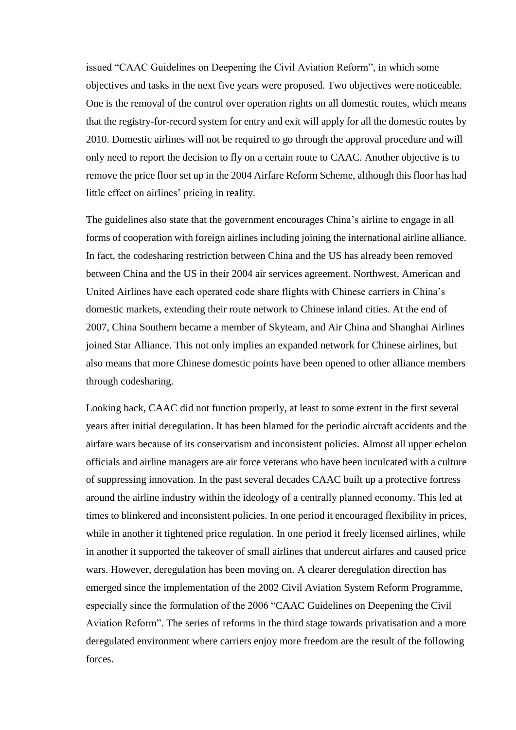issued "CAAC Guidelines on Deepening the Civil Aviation Reform", in which some objectives and tasks in the next five years were proposed. Two objectives were noticeable. One is the removal of the control over operation rights on all domestic routes, which means that the registry-for-record system for entry and exit will apply for all the domestic routes by 2010. Domestic airlines will not be required to go through the approval procedure and will only need to report the decision to fly on a certain route to CAAC. Another objective is to remove the price floor set up in the 2004 Airfare Reform Scheme, although this floor has had little effect on airlines' pricing in reality.

The guidelines also state that the government encourages China's airline to engage in all forms of cooperation with foreign airlines including joining the international airline alliance. In fact, the codesharing restriction between China and the US has already been removed between China and the US in their 2004 air services agreement. Northwest, American and United Airlines have each operated code share flights with Chinese carriers in China's domestic markets, extending their route network to Chinese inland cities. At the end of 2007, China Southern became a member of Skyteam, and Air China and Shanghai Airlines joined Star Alliance. This not only implies an expanded network for Chinese airlines, but also means that more Chinese domestic points have been opened to other alliance members through codesharing.

Looking back, CAAC did not function properly, at least to some extent in the first several years after initial deregulation. It has been blamed for the periodic aircraft accidents and the airfare wars because of its conservatism and inconsistent policies. Almost all upper echelon officials and airline managers are air force veterans who have been inculcated with a culture of suppressing innovation. In the past several decades CAAC built up a protective fortress around the airline industry within the ideology of a centrally planned economy. This led at times to blinkered and inconsistent policies. In one period it encouraged flexibility in prices, while in another it tightened price regulation. In one period it freely licensed airlines, while in another it supported the takeover of small airlines that undercut airfares and caused price wars. However, deregulation has been moving on. A clearer deregulation direction has emerged since the implementation of the 2002 Civil Aviation System Reform Programme, especially since the formulation of the 2006 "CAAC Guidelines on Deepening the Civil Aviation Reform". The series of reforms in the third stage towards privatisation and a more deregulated environment where carriers enjoy more freedom are the result of the following forces.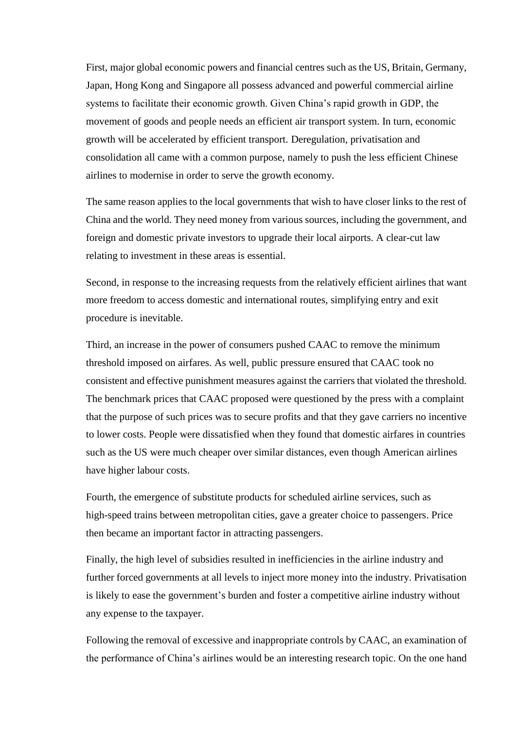First, major global economic powers and financial centres such as the US, Britain, Germany, Japan, Hong Kong and Singapore all possess advanced and powerful commercial airline systems to facilitate their economic growth. Given China's rapid growth in GDP, the movement of goods and people needs an efficient air transport system. In turn, economic growth will be accelerated by efficient transport. Deregulation, privatisation and consolidation all came with a common purpose, namely to push the less efficient Chinese airlines to modernise in order to serve the growth economy.

The same reason applies to the local governments that wish to have closer links to the rest of China and the world. They need money from various sources, including the government, and foreign and domestic private investors to upgrade their local airports. A clear-cut law relating to investment in these areas is essential.

Second, in response to the increasing requests from the relatively efficient airlines that want more freedom to access domestic and international routes, simplifying entry and exit procedure is inevitable.

Third, an increase in the power of consumers pushed CAAC to remove the minimum threshold imposed on airfares. As well, public pressure ensured that CAAC took no consistent and effective punishment measures against the carriers that violated the threshold. The benchmark prices that CAAC proposed were questioned by the press with a complaint that the purpose of such prices was to secure profits and that they gave carriers no incentive to lower costs. People were dissatisfied when they found that domestic airfares in countries such as the US were much cheaper over similar distances, even though American airlines have higher labour costs.

Fourth, the emergence of substitute products for scheduled airline services, such as high-speed trains between metropolitan cities, gave a greater choice to passengers. Price then became an important factor in attracting passengers.

Finally, the high level of subsidies resulted in inefficiencies in the airline industry and further forced governments at all levels to inject more money into the industry. Privatisation is likely to ease the government's burden and foster a competitive airline industry without any expense to the taxpayer.

Following the removal of excessive and inappropriate controls by CAAC, an examination of the performance of China's airlines would be an interesting research topic. On the one hand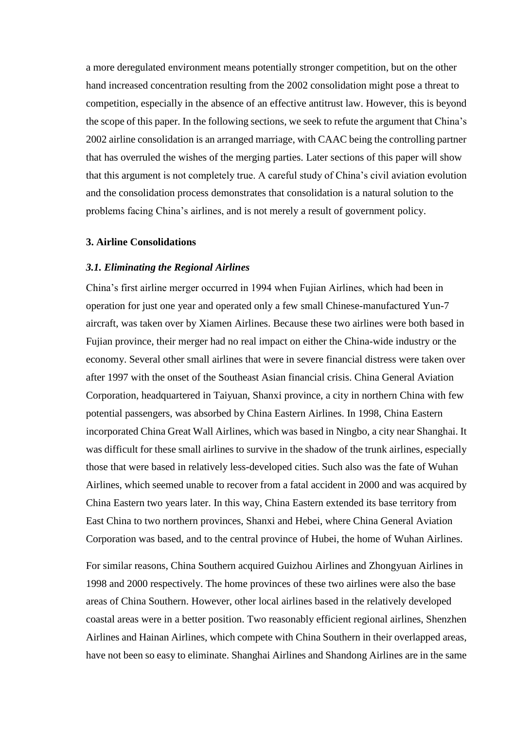a more deregulated environment means potentially stronger competition, but on the other hand increased concentration resulting from the 2002 consolidation might pose a threat to competition, especially in the absence of an effective antitrust law. However, this is beyond the scope of this paper. In the following sections, we seek to refute the argument that China's 2002 airline consolidation is an arranged marriage, with CAAC being the controlling partner that has overruled the wishes of the merging parties. Later sections of this paper will show that this argument is not completely true. A careful study of China's civil aviation evolution and the consolidation process demonstrates that consolidation is a natural solution to the problems facing China's airlines, and is not merely a result of government policy.

### **3. Airline Consolidations**

#### *3.1. Eliminating the Regional Airlines*

China's first airline merger occurred in 1994 when Fujian Airlines, which had been in operation for just one year and operated only a few small Chinese-manufactured Yun-7 aircraft, was taken over by Xiamen Airlines. Because these two airlines were both based in Fujian province, their merger had no real impact on either the China-wide industry or the economy. Several other small airlines that were in severe financial distress were taken over after 1997 with the onset of the Southeast Asian financial crisis. China General Aviation Corporation, headquartered in Taiyuan, Shanxi province, a city in northern China with few potential passengers, was absorbed by China Eastern Airlines. In 1998, China Eastern incorporated China Great Wall Airlines, which was based in Ningbo, a city near Shanghai. It was difficult for these small airlines to survive in the shadow of the trunk airlines, especially those that were based in relatively less-developed cities. Such also was the fate of Wuhan Airlines, which seemed unable to recover from a fatal accident in 2000 and was acquired by China Eastern two years later. In this way, China Eastern extended its base territory from East China to two northern provinces, Shanxi and Hebei, where China General Aviation Corporation was based, and to the central province of Hubei, the home of Wuhan Airlines.

For similar reasons, China Southern acquired Guizhou Airlines and Zhongyuan Airlines in 1998 and 2000 respectively. The home provinces of these two airlines were also the base areas of China Southern. However, other local airlines based in the relatively developed coastal areas were in a better position. Two reasonably efficient regional airlines, Shenzhen Airlines and Hainan Airlines, which compete with China Southern in their overlapped areas, have not been so easy to eliminate. Shanghai Airlines and Shandong Airlines are in the same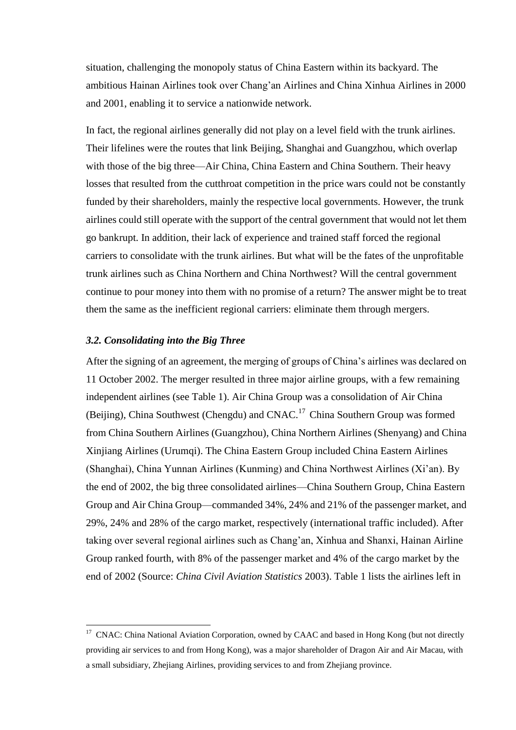situation, challenging the monopoly status of China Eastern within its backyard. The ambitious Hainan Airlines took over Chang'an Airlines and China Xinhua Airlines in 2000 and 2001, enabling it to service a nationwide network.

In fact, the regional airlines generally did not play on a level field with the trunk airlines. Their lifelines were the routes that link Beijing, Shanghai and Guangzhou, which overlap with those of the big three—Air China, China Eastern and China Southern. Their heavy losses that resulted from the cutthroat competition in the price wars could not be constantly funded by their shareholders, mainly the respective local governments. However, the trunk airlines could still operate with the support of the central government that would not let them go bankrupt. In addition, their lack of experience and trained staff forced the regional carriers to consolidate with the trunk airlines. But what will be the fates of the unprofitable trunk airlines such as China Northern and China Northwest? Will the central government continue to pour money into them with no promise of a return? The answer might be to treat them the same as the inefficient regional carriers: eliminate them through mergers.

### *3.2. Consolidating into the Big Three*

 $\overline{a}$ 

After the signing of an agreement, the merging of groups of China's airlines was declared on 11 October 2002. The merger resulted in three major airline groups, with a few remaining independent airlines (see Table 1). Air China Group was a consolidation of Air China (Beijing), China Southwest (Chengdu) and CNAC.<sup>17</sup> China Southern Group was formed from China Southern Airlines (Guangzhou), China Northern Airlines (Shenyang) and China Xinjiang Airlines (Urumqi). The China Eastern Group included China Eastern Airlines (Shanghai), China Yunnan Airlines (Kunming) and China Northwest Airlines (Xi'an). By the end of 2002, the big three consolidated airlines—China Southern Group, China Eastern Group and Air China Group—commanded 34%, 24% and 21% of the passenger market, and 29%, 24% and 28% of the cargo market, respectively (international traffic included). After taking over several regional airlines such as Chang'an, Xinhua and Shanxi, Hainan Airline Group ranked fourth, with 8% of the passenger market and 4% of the cargo market by the end of 2002 (Source: *China Civil Aviation Statistics* 2003). Table 1 lists the airlines left in

<sup>&</sup>lt;sup>17</sup> CNAC: China National Aviation Corporation, owned by CAAC and based in Hong Kong (but not directly providing air services to and from Hong Kong), was a major shareholder of Dragon Air and Air Macau, with a small subsidiary, Zhejiang Airlines, providing services to and from Zhejiang province.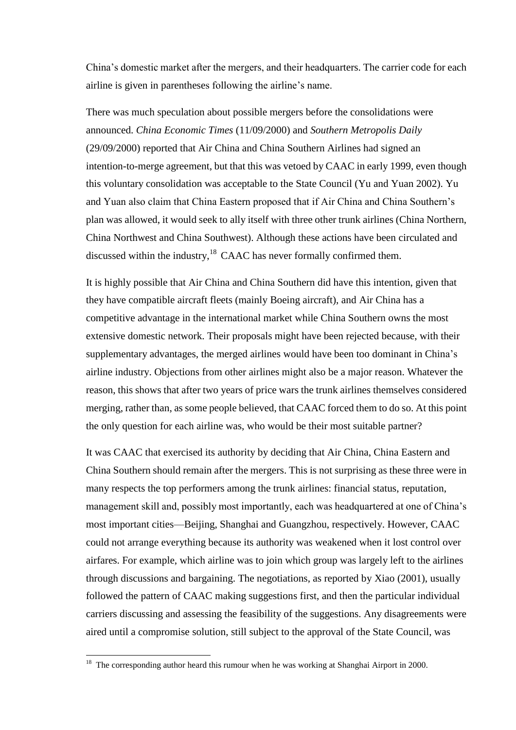China's domestic market after the mergers, and their headquarters. The carrier code for each airline is given in parentheses following the airline's name.

There was much speculation about possible mergers before the consolidations were announced. *China Economic Times* (11/09/2000) and *Southern Metropolis Daily* (29/09/2000) reported that Air China and China Southern Airlines had signed an intention-to-merge agreement, but that this was vetoed by CAAC in early 1999, even though this voluntary consolidation was acceptable to the State Council (Yu and Yuan 2002). Yu and Yuan also claim that China Eastern proposed that if Air China and China Southern's plan was allowed, it would seek to ally itself with three other trunk airlines (China Northern, China Northwest and China Southwest). Although these actions have been circulated and discussed within the industry, $18$  CAAC has never formally confirmed them.

It is highly possible that Air China and China Southern did have this intention, given that they have compatible aircraft fleets (mainly Boeing aircraft), and Air China has a competitive advantage in the international market while China Southern owns the most extensive domestic network. Their proposals might have been rejected because, with their supplementary advantages, the merged airlines would have been too dominant in China's airline industry. Objections from other airlines might also be a major reason. Whatever the reason, this shows that after two years of price wars the trunk airlines themselves considered merging, rather than, as some people believed, that CAAC forced them to do so. At this point the only question for each airline was, who would be their most suitable partner?

It was CAAC that exercised its authority by deciding that Air China, China Eastern and China Southern should remain after the mergers. This is not surprising as these three were in many respects the top performers among the trunk airlines: financial status, reputation, management skill and, possibly most importantly, each was headquartered at one of China's most important cities—Beijing, Shanghai and Guangzhou, respectively. However, CAAC could not arrange everything because its authority was weakened when it lost control over airfares. For example, which airline was to join which group was largely left to the airlines through discussions and bargaining. The negotiations, as reported by Xiao (2001), usually followed the pattern of CAAC making suggestions first, and then the particular individual carriers discussing and assessing the feasibility of the suggestions. Any disagreements were aired until a compromise solution, still subject to the approval of the State Council, was

<sup>18</sup> The corresponding author heard this rumour when he was working at Shanghai Airport in 2000.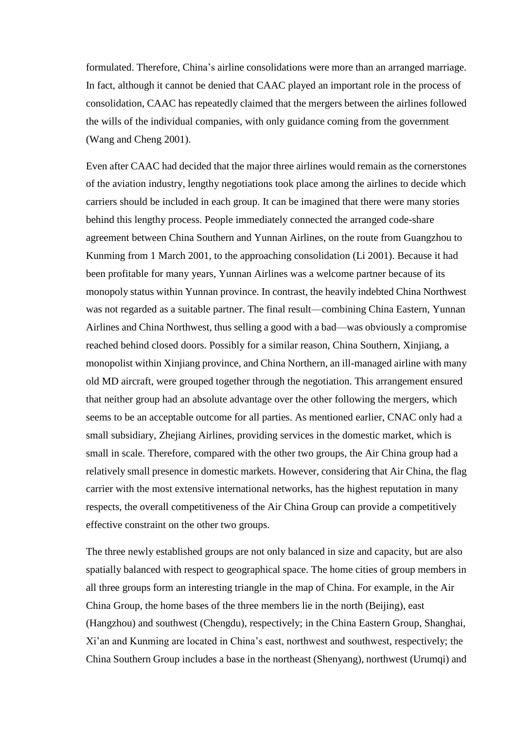formulated. Therefore, China's airline consolidations were more than an arranged marriage. In fact, although it cannot be denied that CAAC played an important role in the process of consolidation, CAAC has repeatedly claimed that the mergers between the airlines followed the wills of the individual companies, with only guidance coming from the government (Wang and Cheng 2001).

Even after CAAC had decided that the major three airlines would remain as the cornerstones of the aviation industry, lengthy negotiations took place among the airlines to decide which carriers should be included in each group. It can be imagined that there were many stories behind this lengthy process. People immediately connected the arranged code-share agreement between China Southern and Yunnan Airlines, on the route from Guangzhou to Kunming from 1 March 2001, to the approaching consolidation (Li 2001). Because it had been profitable for many years, Yunnan Airlines was a welcome partner because of its monopoly status within Yunnan province. In contrast, the heavily indebted China Northwest was not regarded as a suitable partner. The final result—combining China Eastern, Yunnan Airlines and China Northwest, thus selling a good with a bad—was obviously a compromise reached behind closed doors. Possibly for a similar reason, China Southern, Xinjiang, a monopolist within Xinjiang province, and China Northern, an ill-managed airline with many old MD aircraft, were grouped together through the negotiation. This arrangement ensured that neither group had an absolute advantage over the other following the mergers, which seems to be an acceptable outcome for all parties. As mentioned earlier, CNAC only had a small subsidiary, Zhejiang Airlines, providing services in the domestic market, which is small in scale. Therefore, compared with the other two groups, the Air China group had a relatively small presence in domestic markets. However, considering that Air China, the flag carrier with the most extensive international networks, has the highest reputation in many respects, the overall competitiveness of the Air China Group can provide a competitively effective constraint on the other two groups.

The three newly established groups are not only balanced in size and capacity, but are also spatially balanced with respect to geographical space. The home cities of group members in all three groups form an interesting triangle in the map of China. For example, in the Air China Group, the home bases of the three members lie in the north (Beijing), east (Hangzhou) and southwest (Chengdu), respectively; in the China Eastern Group, Shanghai, Xi'an and Kunming are located in China's east, northwest and southwest, respectively; the China Southern Group includes a base in the northeast (Shenyang), northwest (Urumqi) and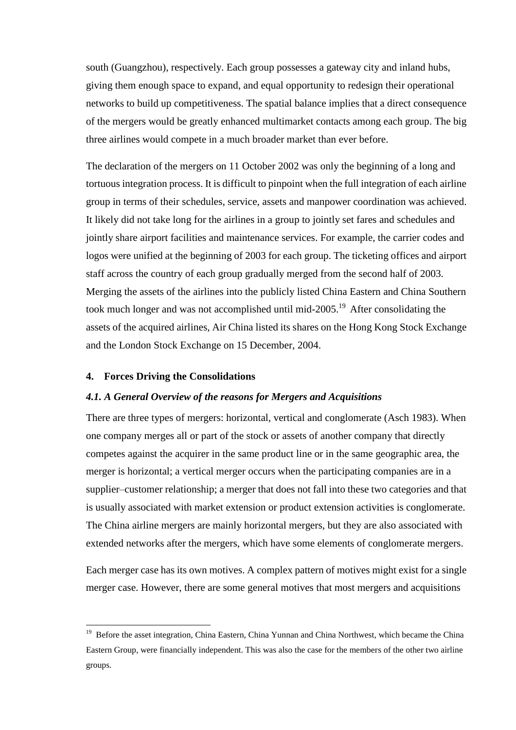south (Guangzhou), respectively. Each group possesses a gateway city and inland hubs, giving them enough space to expand, and equal opportunity to redesign their operational networks to build up competitiveness. The spatial balance implies that a direct consequence of the mergers would be greatly enhanced multimarket contacts among each group. The big three airlines would compete in a much broader market than ever before.

The declaration of the mergers on 11 October 2002 was only the beginning of a long and tortuous integration process. It is difficult to pinpoint when the full integration of each airline group in terms of their schedules, service, assets and manpower coordination was achieved. It likely did not take long for the airlines in a group to jointly set fares and schedules and jointly share airport facilities and maintenance services. For example, the carrier codes and logos were unified at the beginning of 2003 for each group. The ticketing offices and airport staff across the country of each group gradually merged from the second half of 2003. Merging the assets of the airlines into the publicly listed China Eastern and China Southern took much longer and was not accomplished until mid-2005.<sup>19</sup> After consolidating the assets of the acquired airlines, Air China listed its shares on the Hong Kong Stock Exchange and the London Stock Exchange on 15 December, 2004.

#### **4. Forces Driving the Consolidations**

 $\overline{a}$ 

#### *4.1. A General Overview of the reasons for Mergers and Acquisitions*

There are three types of mergers: horizontal, vertical and conglomerate (Asch 1983). When one company merges all or part of the stock or assets of another company that directly competes against the acquirer in the same product line or in the same geographic area, the merger is horizontal; a vertical merger occurs when the participating companies are in a supplier–customer relationship; a merger that does not fall into these two categories and that is usually associated with market extension or product extension activities is conglomerate. The China airline mergers are mainly horizontal mergers, but they are also associated with extended networks after the mergers, which have some elements of conglomerate mergers.

Each merger case has its own motives. A complex pattern of motives might exist for a single merger case. However, there are some general motives that most mergers and acquisitions

<sup>&</sup>lt;sup>19</sup> Before the asset integration, China Eastern, China Yunnan and China Northwest, which became the China Eastern Group, were financially independent. This was also the case for the members of the other two airline groups.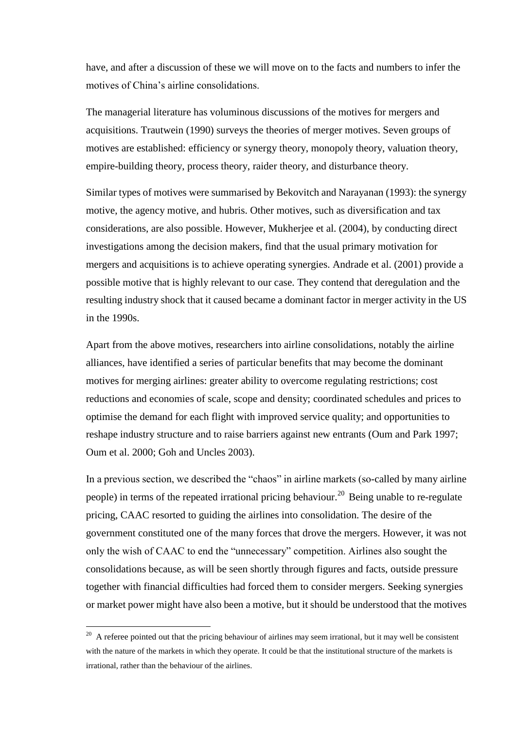have, and after a discussion of these we will move on to the facts and numbers to infer the motives of China's airline consolidations.

The managerial literature has voluminous discussions of the motives for mergers and acquisitions. Trautwein (1990) surveys the theories of merger motives. Seven groups of motives are established: efficiency or synergy theory, monopoly theory, valuation theory, empire-building theory, process theory, raider theory, and disturbance theory.

Similar types of motives were summarised by Bekovitch and Narayanan (1993): the synergy motive, the agency motive, and hubris. Other motives, such as diversification and tax considerations, are also possible. However, Mukherjee et al. (2004), by conducting direct investigations among the decision makers, find that the usual primary motivation for mergers and acquisitions is to achieve operating synergies. Andrade et al. (2001) provide a possible motive that is highly relevant to our case. They contend that deregulation and the resulting industry shock that it caused became a dominant factor in merger activity in the US in the 1990s.

Apart from the above motives, researchers into airline consolidations, notably the airline alliances, have identified a series of particular benefits that may become the dominant motives for merging airlines: greater ability to overcome regulating restrictions; cost reductions and economies of scale, scope and density; coordinated schedules and prices to optimise the demand for each flight with improved service quality; and opportunities to reshape industry structure and to raise barriers against new entrants (Oum and Park 1997; Oum et al. 2000; Goh and Uncles 2003).

In a previous section, we described the "chaos" in airline markets (so-called by many airline people) in terms of the repeated irrational pricing behaviour.<sup>20</sup> Being unable to re-regulate pricing, CAAC resorted to guiding the airlines into consolidation. The desire of the government constituted one of the many forces that drove the mergers. However, it was not only the wish of CAAC to end the "unnecessary" competition. Airlines also sought the consolidations because, as will be seen shortly through figures and facts, outside pressure together with financial difficulties had forced them to consider mergers. Seeking synergies or market power might have also been a motive, but it should be understood that the motives

 $20$  A referee pointed out that the pricing behaviour of airlines may seem irrational, but it may well be consistent with the nature of the markets in which they operate. It could be that the institutional structure of the markets is irrational, rather than the behaviour of the airlines.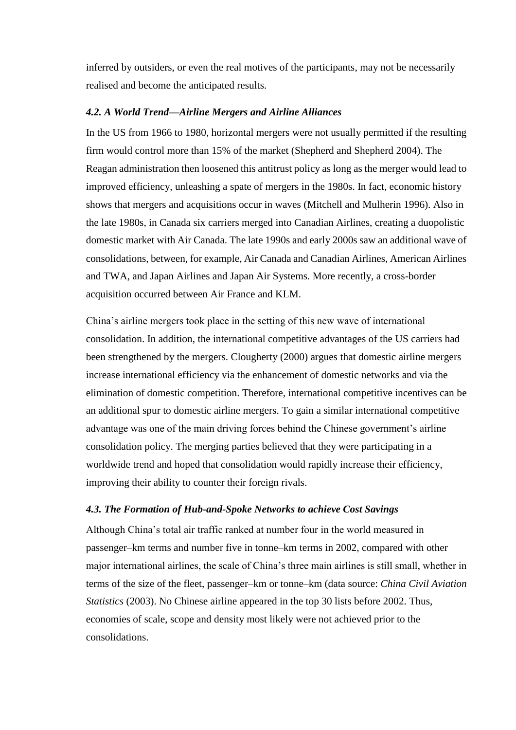inferred by outsiders, or even the real motives of the participants, may not be necessarily realised and become the anticipated results.

### *4.2. A World Trend—Airline Mergers and Airline Alliances*

In the US from 1966 to 1980, horizontal mergers were not usually permitted if the resulting firm would control more than 15% of the market (Shepherd and Shepherd 2004). The Reagan administration then loosened this antitrust policy as long as the merger would lead to improved efficiency, unleashing a spate of mergers in the 1980s. In fact, economic history shows that mergers and acquisitions occur in waves (Mitchell and Mulherin 1996). Also in the late 1980s, in Canada six carriers merged into Canadian Airlines, creating a duopolistic domestic market with Air Canada. The late 1990s and early 2000s saw an additional wave of consolidations, between, for example, Air Canada and Canadian Airlines, American Airlines and TWA, and Japan Airlines and Japan Air Systems. More recently, a cross-border acquisition occurred between Air France and KLM.

China's airline mergers took place in the setting of this new wave of international consolidation. In addition, the international competitive advantages of the US carriers had been strengthened by the mergers. Clougherty (2000) argues that domestic airline mergers increase international efficiency via the enhancement of domestic networks and via the elimination of domestic competition. Therefore, international competitive incentives can be an additional spur to domestic airline mergers. To gain a similar international competitive advantage was one of the main driving forces behind the Chinese government's airline consolidation policy. The merging parties believed that they were participating in a worldwide trend and hoped that consolidation would rapidly increase their efficiency, improving their ability to counter their foreign rivals.

## *4.3. The Formation of Hub-and-Spoke Networks to achieve Cost Savings*

Although China's total air traffic ranked at number four in the world measured in passenger–km terms and number five in tonne–km terms in 2002, compared with other major international airlines, the scale of China's three main airlines is still small, whether in terms of the size of the fleet, passenger–km or tonne–km (data source: *China Civil Aviation Statistics* (2003). No Chinese airline appeared in the top 30 lists before 2002. Thus, economies of scale, scope and density most likely were not achieved prior to the consolidations.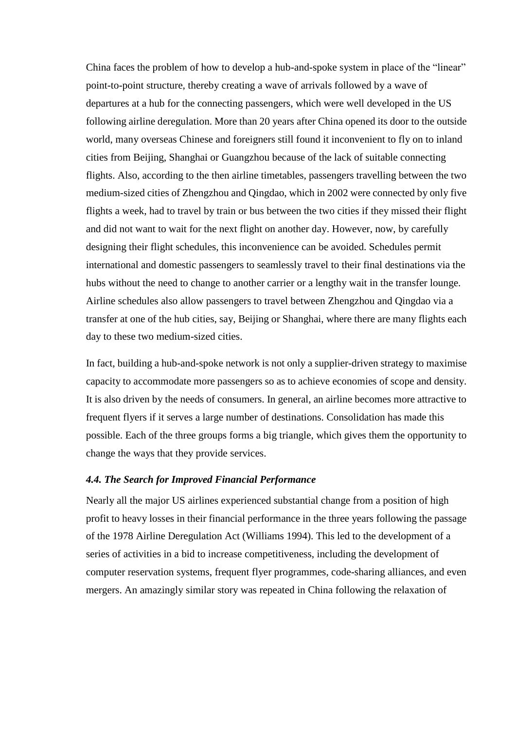China faces the problem of how to develop a hub-and-spoke system in place of the "linear" point-to-point structure, thereby creating a wave of arrivals followed by a wave of departures at a hub for the connecting passengers, which were well developed in the US following airline deregulation. More than 20 years after China opened its door to the outside world, many overseas Chinese and foreigners still found it inconvenient to fly on to inland cities from Beijing, Shanghai or Guangzhou because of the lack of suitable connecting flights. Also, according to the then airline timetables, passengers travelling between the two medium-sized cities of Zhengzhou and Qingdao, which in 2002 were connected by only five flights a week, had to travel by train or bus between the two cities if they missed their flight and did not want to wait for the next flight on another day. However, now, by carefully designing their flight schedules, this inconvenience can be avoided. Schedules permit international and domestic passengers to seamlessly travel to their final destinations via the hubs without the need to change to another carrier or a lengthy wait in the transfer lounge. Airline schedules also allow passengers to travel between Zhengzhou and Qingdao via a transfer at one of the hub cities, say, Beijing or Shanghai, where there are many flights each day to these two medium-sized cities.

In fact, building a hub-and-spoke network is not only a supplier-driven strategy to maximise capacity to accommodate more passengers so as to achieve economies of scope and density. It is also driven by the needs of consumers. In general, an airline becomes more attractive to frequent flyers if it serves a large number of destinations. Consolidation has made this possible. Each of the three groups forms a big triangle, which gives them the opportunity to change the ways that they provide services.

### *4.4. The Search for Improved Financial Performance*

Nearly all the major US airlines experienced substantial change from a position of high profit to heavy losses in their financial performance in the three years following the passage of the 1978 Airline Deregulation Act (Williams 1994). This led to the development of a series of activities in a bid to increase competitiveness, including the development of computer reservation systems, frequent flyer programmes, code-sharing alliances, and even mergers. An amazingly similar story was repeated in China following the relaxation of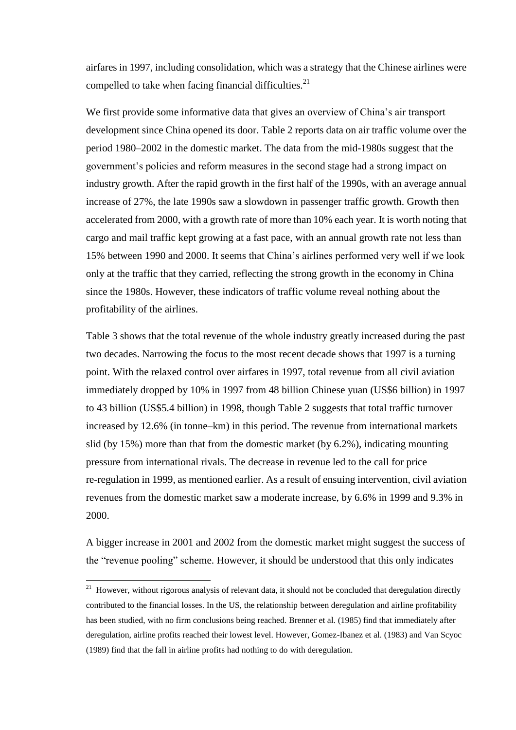airfares in 1997, including consolidation, which was a strategy that the Chinese airlines were compelled to take when facing financial difficulties. $21$ 

We first provide some informative data that gives an overview of China's air transport development since China opened its door. Table 2 reports data on air traffic volume over the period 1980–2002 in the domestic market. The data from the mid-1980s suggest that the government's policies and reform measures in the second stage had a strong impact on industry growth. After the rapid growth in the first half of the 1990s, with an average annual increase of 27%, the late 1990s saw a slowdown in passenger traffic growth. Growth then accelerated from 2000, with a growth rate of more than 10% each year. It is worth noting that cargo and mail traffic kept growing at a fast pace, with an annual growth rate not less than 15% between 1990 and 2000. It seems that China's airlines performed very well if we look only at the traffic that they carried, reflecting the strong growth in the economy in China since the 1980s. However, these indicators of traffic volume reveal nothing about the profitability of the airlines.

Table 3 shows that the total revenue of the whole industry greatly increased during the past two decades. Narrowing the focus to the most recent decade shows that 1997 is a turning point. With the relaxed control over airfares in 1997, total revenue from all civil aviation immediately dropped by 10% in 1997 from 48 billion Chinese yuan (US\$6 billion) in 1997 to 43 billion (US\$5.4 billion) in 1998, though Table 2 suggests that total traffic turnover increased by 12.6% (in tonne–km) in this period. The revenue from international markets slid (by 15%) more than that from the domestic market (by 6.2%), indicating mounting pressure from international rivals. The decrease in revenue led to the call for price re-regulation in 1999, as mentioned earlier. As a result of ensuing intervention, civil aviation revenues from the domestic market saw a moderate increase, by 6.6% in 1999 and 9.3% in 2000.

A bigger increase in 2001 and 2002 from the domestic market might suggest the success of the "revenue pooling" scheme. However, it should be understood that this only indicates

 $21$  However, without rigorous analysis of relevant data, it should not be concluded that deregulation directly contributed to the financial losses. In the US, the relationship between deregulation and airline profitability has been studied, with no firm conclusions being reached. Brenner et al. (1985) find that immediately after deregulation, airline profits reached their lowest level. However, Gomez-Ibanez et al. (1983) and Van Scyoc (1989) find that the fall in airline profits had nothing to do with deregulation.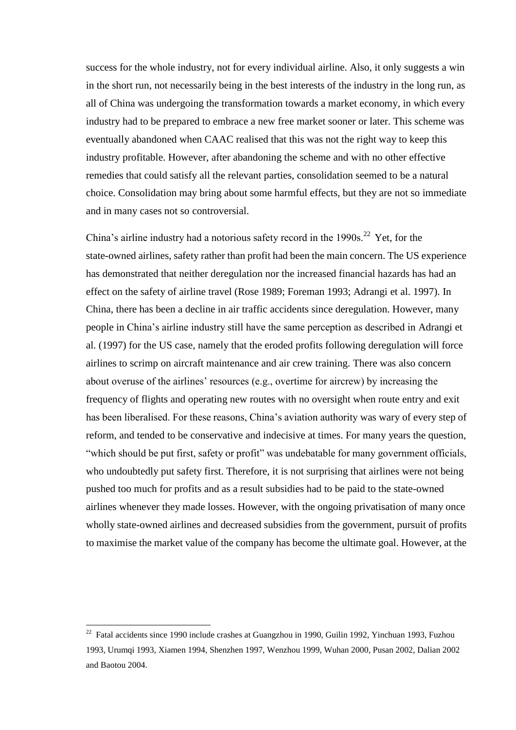success for the whole industry, not for every individual airline. Also, it only suggests a win in the short run, not necessarily being in the best interests of the industry in the long run, as all of China was undergoing the transformation towards a market economy, in which every industry had to be prepared to embrace a new free market sooner or later. This scheme was eventually abandoned when CAAC realised that this was not the right way to keep this industry profitable. However, after abandoning the scheme and with no other effective remedies that could satisfy all the relevant parties, consolidation seemed to be a natural choice. Consolidation may bring about some harmful effects, but they are not so immediate and in many cases not so controversial.

China's airline industry had a notorious safety record in the  $1990s$ <sup>22</sup> Yet, for the state-owned airlines, safety rather than profit had been the main concern. The US experience has demonstrated that neither deregulation nor the increased financial hazards has had an effect on the safety of airline travel (Rose 1989; Foreman 1993; Adrangi et al. 1997). In China, there has been a decline in air traffic accidents since deregulation. However, many people in China's airline industry still have the same perception as described in Adrangi et al. (1997) for the US case, namely that the eroded profits following deregulation will force airlines to scrimp on aircraft maintenance and air crew training. There was also concern about overuse of the airlines' resources (e.g., overtime for aircrew) by increasing the frequency of flights and operating new routes with no oversight when route entry and exit has been liberalised. For these reasons, China's aviation authority was wary of every step of reform, and tended to be conservative and indecisive at times. For many years the question, "which should be put first, safety or profit" was undebatable for many government officials, who undoubtedly put safety first. Therefore, it is not surprising that airlines were not being pushed too much for profits and as a result subsidies had to be paid to the state-owned airlines whenever they made losses. However, with the ongoing privatisation of many once wholly state-owned airlines and decreased subsidies from the government, pursuit of profits to maximise the market value of the company has become the ultimate goal. However, at the

 $22$  Fatal accidents since 1990 include crashes at Guangzhou in 1990, Guilin 1992, Yinchuan 1993, Fuzhou 1993, Urumqi 1993, Xiamen 1994, Shenzhen 1997, Wenzhou 1999, Wuhan 2000, Pusan 2002, Dalian 2002 and Baotou 2004.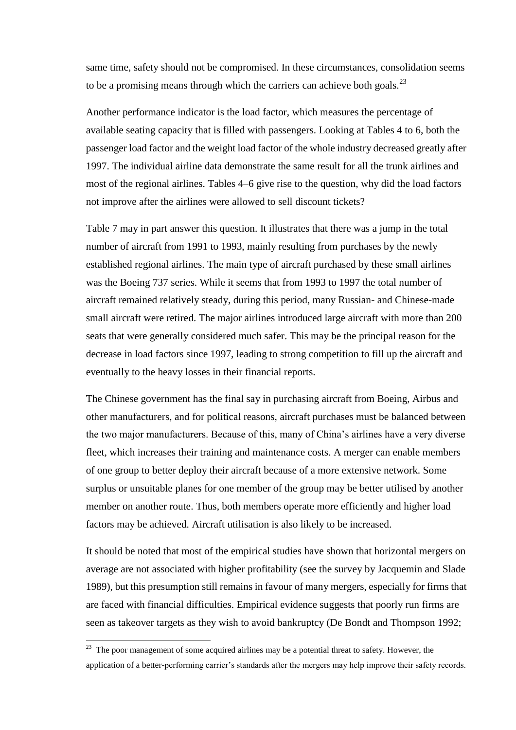same time, safety should not be compromised. In these circumstances, consolidation seems to be a promising means through which the carriers can achieve both goals.<sup>23</sup>

Another performance indicator is the load factor, which measures the percentage of available seating capacity that is filled with passengers. Looking at Tables 4 to 6, both the passenger load factor and the weight load factor of the whole industry decreased greatly after 1997. The individual airline data demonstrate the same result for all the trunk airlines and most of the regional airlines. Tables 4–6 give rise to the question, why did the load factors not improve after the airlines were allowed to sell discount tickets?

Table 7 may in part answer this question. It illustrates that there was a jump in the total number of aircraft from 1991 to 1993, mainly resulting from purchases by the newly established regional airlines. The main type of aircraft purchased by these small airlines was the Boeing 737 series. While it seems that from 1993 to 1997 the total number of aircraft remained relatively steady, during this period, many Russian- and Chinese-made small aircraft were retired. The major airlines introduced large aircraft with more than 200 seats that were generally considered much safer. This may be the principal reason for the decrease in load factors since 1997, leading to strong competition to fill up the aircraft and eventually to the heavy losses in their financial reports.

The Chinese government has the final say in purchasing aircraft from Boeing, Airbus and other manufacturers, and for political reasons, aircraft purchases must be balanced between the two major manufacturers. Because of this, many of China's airlines have a very diverse fleet, which increases their training and maintenance costs. A merger can enable members of one group to better deploy their aircraft because of a more extensive network. Some surplus or unsuitable planes for one member of the group may be better utilised by another member on another route. Thus, both members operate more efficiently and higher load factors may be achieved. Aircraft utilisation is also likely to be increased.

It should be noted that most of the empirical studies have shown that horizontal mergers on average are not associated with higher profitability (see the survey by Jacquemin and Slade 1989), but this presumption still remains in favour of many mergers, especially for firms that are faced with financial difficulties. Empirical evidence suggests that poorly run firms are seen as takeover targets as they wish to avoid bankruptcy (De Bondt and Thompson 1992;

 $23$  The poor management of some acquired airlines may be a potential threat to safety. However, the application of a better-performing carrier's standards after the mergers may help improve their safety records.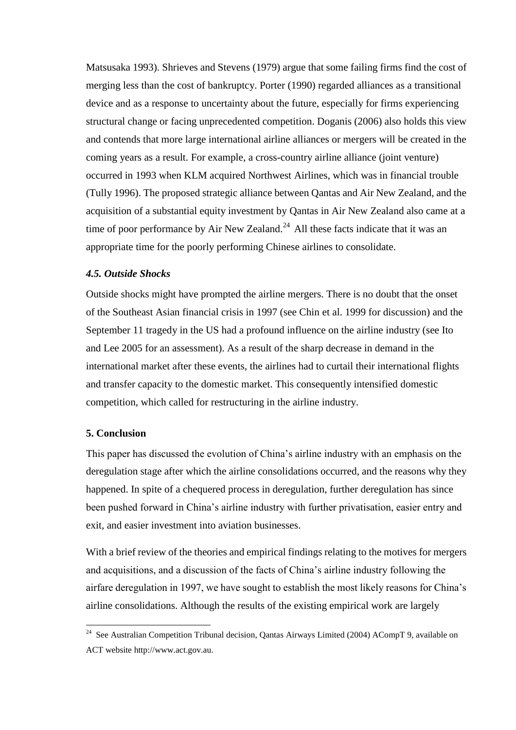Matsusaka 1993). Shrieves and Stevens (1979) argue that some failing firms find the cost of merging less than the cost of bankruptcy. Porter (1990) regarded alliances as a transitional device and as a response to uncertainty about the future, especially for firms experiencing structural change or facing unprecedented competition. Doganis (2006) also holds this view and contends that more large international airline alliances or mergers will be created in the coming years as a result. For example, a cross-country airline alliance (joint venture) occurred in 1993 when KLM acquired Northwest Airlines, which was in financial trouble (Tully 1996). The proposed strategic alliance between Qantas and Air New Zealand, and the acquisition of a substantial equity investment by Qantas in Air New Zealand also came at a time of poor performance by Air New Zealand.<sup>24</sup> All these facts indicate that it was an appropriate time for the poorly performing Chinese airlines to consolidate.

### *4.5. Outside Shocks*

Outside shocks might have prompted the airline mergers. There is no doubt that the onset of the Southeast Asian financial crisis in 1997 (see Chin et al. 1999 for discussion) and the September 11 tragedy in the US had a profound influence on the airline industry (see Ito and Lee 2005 for an assessment). As a result of the sharp decrease in demand in the international market after these events, the airlines had to curtail their international flights and transfer capacity to the domestic market. This consequently intensified domestic competition, which called for restructuring in the airline industry.

## **5. Conclusion**

 $\overline{a}$ 

This paper has discussed the evolution of China's airline industry with an emphasis on the deregulation stage after which the airline consolidations occurred, and the reasons why they happened. In spite of a chequered process in deregulation, further deregulation has since been pushed forward in China's airline industry with further privatisation, easier entry and exit, and easier investment into aviation businesses.

With a brief review of the theories and empirical findings relating to the motives for mergers and acquisitions, and a discussion of the facts of China's airline industry following the airfare deregulation in 1997, we have sought to establish the most likely reasons for China's airline consolidations. Although the results of the existing empirical work are largely

<sup>&</sup>lt;sup>24</sup> See Australian Competition Tribunal decision, Qantas Airways Limited (2004) ACompT 9, available on ACT website http://www.act.gov.au.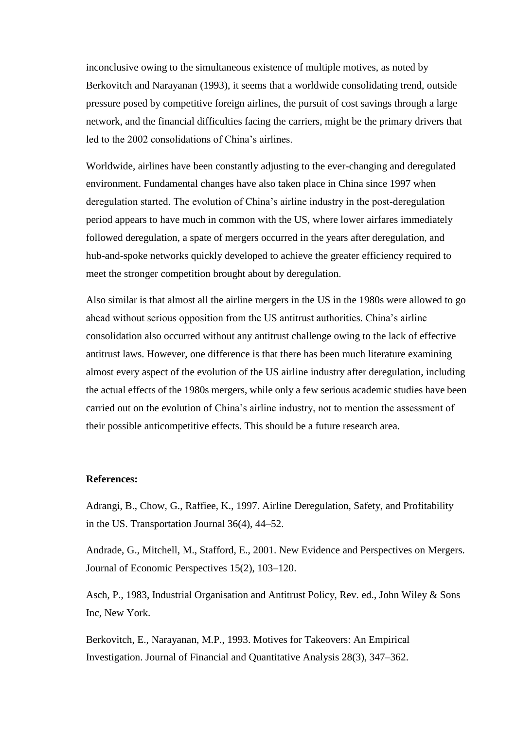inconclusive owing to the simultaneous existence of multiple motives, as noted by Berkovitch and Narayanan (1993), it seems that a worldwide consolidating trend, outside pressure posed by competitive foreign airlines, the pursuit of cost savings through a large network, and the financial difficulties facing the carriers, might be the primary drivers that led to the 2002 consolidations of China's airlines.

Worldwide, airlines have been constantly adjusting to the ever-changing and deregulated environment. Fundamental changes have also taken place in China since 1997 when deregulation started. The evolution of China's airline industry in the post-deregulation period appears to have much in common with the US, where lower airfares immediately followed deregulation, a spate of mergers occurred in the years after deregulation, and hub-and-spoke networks quickly developed to achieve the greater efficiency required to meet the stronger competition brought about by deregulation.

Also similar is that almost all the airline mergers in the US in the 1980s were allowed to go ahead without serious opposition from the US antitrust authorities. China's airline consolidation also occurred without any antitrust challenge owing to the lack of effective antitrust laws. However, one difference is that there has been much literature examining almost every aspect of the evolution of the US airline industry after deregulation, including the actual effects of the 1980s mergers, while only a few serious academic studies have been carried out on the evolution of China's airline industry, not to mention the assessment of their possible anticompetitive effects. This should be a future research area.

#### **References:**

Adrangi, B., Chow, G., Raffiee, K., 1997. Airline Deregulation, Safety, and Profitability in the US. Transportation Journal 36(4), 44–52.

Andrade, G., Mitchell, M., Stafford, E., 2001. New Evidence and Perspectives on Mergers. Journal of Economic Perspectives 15(2), 103–120.

Asch, P., 1983, Industrial Organisation and Antitrust Policy, Rev. ed., John Wiley & Sons Inc, New York.

Berkovitch, E., Narayanan, M.P., 1993. Motives for Takeovers: An Empirical Investigation. Journal of Financial and Quantitative Analysis 28(3), 347–362.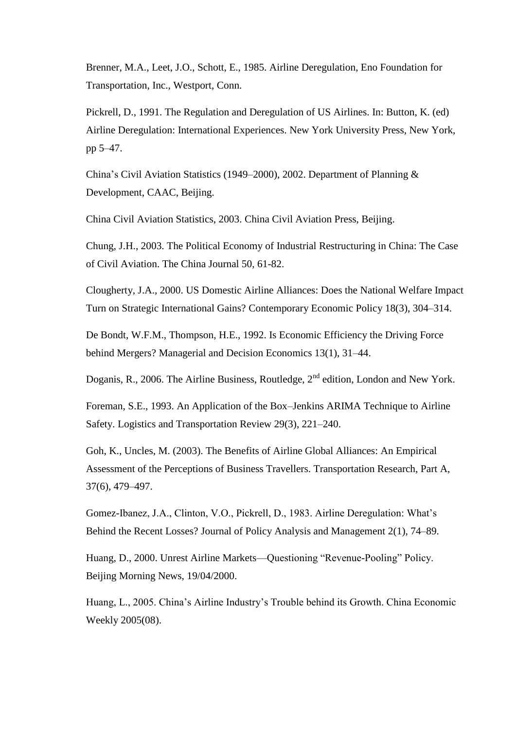Brenner, M.A., Leet, J.O., Schott, E., 1985. Airline Deregulation, Eno Foundation for Transportation, Inc., Westport, Conn.

Pickrell, D., 1991. The Regulation and Deregulation of US Airlines. In: Button, K. (ed) Airline Deregulation: International Experiences. New York University Press, New York, pp 5–47.

China's Civil Aviation Statistics (1949–2000), 2002. Department of Planning & Development, CAAC, Beijing.

China Civil Aviation Statistics, 2003. China Civil Aviation Press, Beijing.

Chung, J.H., 2003. The Political Economy of Industrial Restructuring in China: The Case of Civil Aviation. The China Journal 50, 61-82.

Clougherty, J.A., 2000. US Domestic Airline Alliances: Does the National Welfare Impact Turn on Strategic International Gains? Contemporary Economic Policy 18(3), 304–314.

De Bondt, W.F.M., Thompson, H.E., 1992. Is Economic Efficiency the Driving Force behind Mergers? Managerial and Decision Economics 13(1), 31–44.

Doganis, R., 2006. The Airline Business, Routledge, 2<sup>nd</sup> edition, London and New York.

Foreman, S.E., 1993. An Application of the Box–Jenkins ARIMA Technique to Airline Safety. Logistics and Transportation Review 29(3), 221–240.

Goh, K., Uncles, M. (2003). The Benefits of Airline Global Alliances: An Empirical Assessment of the Perceptions of Business Travellers. Transportation Research, Part A, 37(6), 479–497.

Gomez-Ibanez, J.A., Clinton, V.O., Pickrell, D., 1983. Airline Deregulation: What's Behind the Recent Losses? Journal of Policy Analysis and Management 2(1), 74–89.

Huang, D., 2000. Unrest Airline Markets—Ouestioning "Revenue-Pooling" Policy. Beijing Morning News, 19/04/2000.

Huang, L., 2005. China's Airline Industry's Trouble behind its Growth. China Economic Weekly 2005(08).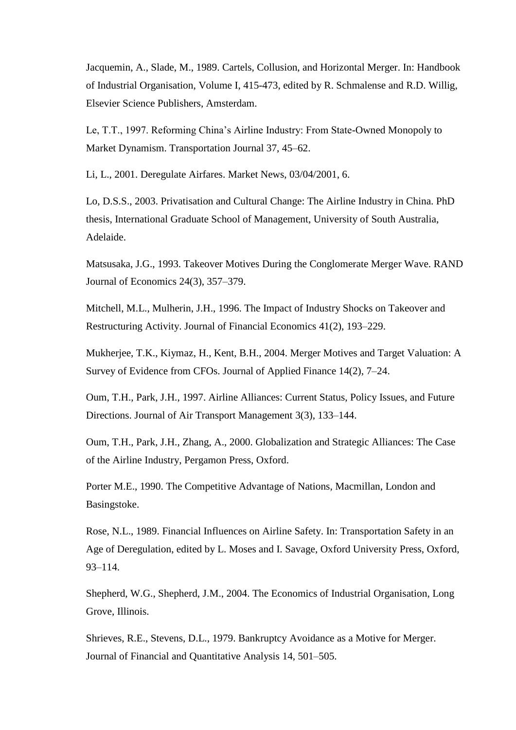Jacquemin, A., Slade, M., 1989. Cartels, Collusion, and Horizontal Merger. In: Handbook of Industrial Organisation, Volume I, 415-473, edited by R. Schmalense and R.D. Willig, Elsevier Science Publishers, Amsterdam.

Le, T.T., 1997. Reforming China's Airline Industry: From State-Owned Monopoly to Market Dynamism. Transportation Journal 37, 45–62.

Li, L., 2001. Deregulate Airfares. Market News, 03/04/2001, 6.

Lo, D.S.S., 2003. Privatisation and Cultural Change: The Airline Industry in China. PhD thesis, International Graduate School of Management, University of South Australia, Adelaide.

Matsusaka, J.G., 1993. Takeover Motives During the Conglomerate Merger Wave. RAND Journal of Economics 24(3), 357–379.

Mitchell, M.L., Mulherin, J.H., 1996. The Impact of Industry Shocks on Takeover and Restructuring Activity. Journal of Financial Economics 41(2), 193–229.

Mukherjee, T.K., Kiymaz, H., Kent, B.H., 2004. Merger Motives and Target Valuation: A Survey of Evidence from CFOs. Journal of Applied Finance 14(2), 7–24.

Oum, T.H., Park, J.H., 1997. Airline Alliances: Current Status, Policy Issues, and Future Directions. Journal of Air Transport Management 3(3), 133–144.

Oum, T.H., Park, J.H., Zhang, A., 2000. Globalization and Strategic Alliances: The Case of the Airline Industry, Pergamon Press, Oxford.

Porter M.E., 1990. The Competitive Advantage of Nations, Macmillan, London and Basingstoke.

Rose, N.L., 1989. Financial Influences on Airline Safety. In: Transportation Safety in an Age of Deregulation, edited by L. Moses and I. Savage, Oxford University Press, Oxford, 93–114.

Shepherd, W.G., Shepherd, J.M., 2004. The Economics of Industrial Organisation, Long Grove, Illinois.

Shrieves, R.E., Stevens, D.L., 1979. Bankruptcy Avoidance as a Motive for Merger. Journal of Financial and Quantitative Analysis 14, 501–505.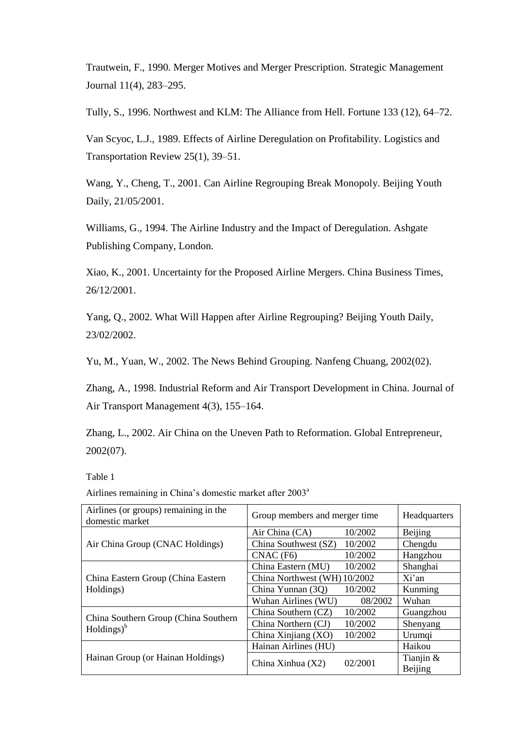Trautwein, F., 1990. Merger Motives and Merger Prescription. Strategic Management Journal 11(4), 283–295.

Tully, S., 1996. Northwest and KLM: The Alliance from Hell. Fortune 133 (12), 64–72.

Van Scyoc, L.J., 1989. Effects of Airline Deregulation on Profitability. Logistics and Transportation Review 25(1), 39–51.

Wang, Y., Cheng, T., 2001. Can Airline Regrouping Break Monopoly. Beijing Youth Daily, 21/05/2001.

Williams, G., 1994. The Airline Industry and the Impact of Deregulation. Ashgate Publishing Company, London.

Xiao, K., 2001. Uncertainty for the Proposed Airline Mergers. China Business Times, 26/12/2001.

Yang, Q., 2002. What Will Happen after Airline Regrouping? Beijing Youth Daily, 23/02/2002.

Yu, M., Yuan, W., 2002. The News Behind Grouping. Nanfeng Chuang, 2002(02).

Zhang, A., 1998. Industrial Reform and Air Transport Development in China. Journal of Air Transport Management 4(3), 155–164.

Zhang, L., 2002. Air China on the Uneven Path to Reformation. Global Entrepreneur, 2002(07).

Table 1

Airlines remaining in China's domestic market after 2003<sup>a</sup>

| Airlines (or groups) remaining in the<br>domestic market        | Group members and merger time | Headquarters |             |
|-----------------------------------------------------------------|-------------------------------|--------------|-------------|
|                                                                 | Air China (CA)                | 10/2002      | Beijing     |
| Air China Group (CNAC Holdings)                                 | China Southwest (SZ)          | 10/2002      | Chengdu     |
|                                                                 | $CNAC$ (F6)                   | 10/2002      | Hangzhou    |
|                                                                 | China Eastern (MU)            | 10/2002      | Shanghai    |
| China Eastern Group (China Eastern                              | China Northwest (WH) 10/2002  | Xi'an        |             |
| Holdings)                                                       | China Yunnan (3Q)             | 10/2002      | Kunming     |
|                                                                 | Wuhan Airlines (WU)           | 08/2002      | Wuhan       |
|                                                                 | China Southern (CZ)           | 10/2002      | Guangzhou   |
| China Southern Group (China Southern<br>$Holdings$ <sup>b</sup> | China Northern (CJ)           | 10/2002      | Shenyang    |
|                                                                 | China Xinjiang (XO)           | 10/2002      | Urumqi      |
|                                                                 | Hainan Airlines (HU)          |              | Haikou      |
| Hainan Group (or Hainan Holdings)                               | China Xinhua (X2)             | 02/2001      | Tianjin $&$ |
|                                                                 |                               |              | Beijing     |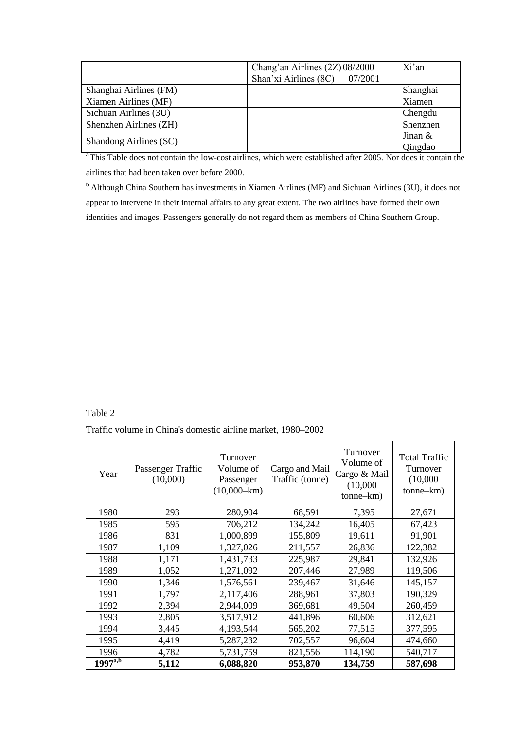|                        | Chang'an Airlines (2Z) 08/2000   | Xi'an     |
|------------------------|----------------------------------|-----------|
|                        | Shan'xi Airlines (8C)<br>07/2001 |           |
| Shanghai Airlines (FM) |                                  | Shanghai  |
| Xiamen Airlines (MF)   |                                  | Xiamen    |
| Sichuan Airlines (3U)  |                                  | Chengdu   |
| Shenzhen Airlines (ZH) |                                  | Shenzhen  |
|                        |                                  | Jinan $&$ |
| Shandong Airlines (SC) |                                  | Qingdao   |

<sup>a</sup>This Table does not contain the low-cost airlines, which were established after 2005. Nor does it contain the airlines that had been taken over before 2000.

<sup>b</sup> Although China Southern has investments in Xiamen Airlines (MF) and Sichuan Airlines (3U), it does not appear to intervene in their internal affairs to any great extent. The two airlines have formed their own identities and images. Passengers generally do not regard them as members of China Southern Group.

## Table 2

Traffic volume in China's domestic airline market, 1980–2002

| Year         | Passenger Traffic<br>(10,000) | Turnover<br>Volume of<br>Passenger<br>$(10,000 - km)$ | Cargo and Mail<br>Traffic (tonne) | Turnover<br>Volume of<br>Cargo & Mail<br>(10,000)<br>tonne-km) | <b>Total Traffic</b><br>Turnover<br>(10,000)<br>tonne-km) |
|--------------|-------------------------------|-------------------------------------------------------|-----------------------------------|----------------------------------------------------------------|-----------------------------------------------------------|
| 1980         | 293                           | 280,904                                               | 68,591                            | 7,395                                                          | 27,671                                                    |
| 1985         | 595                           | 706,212                                               | 134,242                           | 16,405                                                         | 67,423                                                    |
| 1986         | 831                           | 1,000,899                                             | 155,809                           | 19,611                                                         | 91,901                                                    |
| 1987         | 1,109                         | 1,327,026                                             | 211,557                           | 26,836                                                         | 122,382                                                   |
| 1988         | 1,171                         | 1,431,733                                             | 225,987                           | 29,841                                                         | 132,926                                                   |
| 1989         | 1,052                         | 1,271,092                                             | 207,446                           | 27,989                                                         | 119,506                                                   |
| 1990         | 1,346                         | 1,576,561                                             | 239,467                           | 31,646                                                         | 145,157                                                   |
| 1991         | 1,797                         | 2,117,406                                             | 288,961                           | 37,803                                                         | 190,329                                                   |
| 1992         | 2,394                         | 2,944,009                                             | 369,681                           | 49,504                                                         | 260,459                                                   |
| 1993         | 2,805                         | 3,517,912                                             | 441,896                           | 60,606                                                         | 312,621                                                   |
| 1994         | 3,445                         | 4,193,544                                             | 565,202                           | 77,515                                                         | 377,595                                                   |
| 1995         | 4,419                         | 5,287,232                                             | 702,557                           | 96,604                                                         | 474,660                                                   |
| 1996         | 4,782                         | 5,731,759                                             | 821,556                           | 114,190                                                        | 540,717                                                   |
| $1997^{a,b}$ | 5,112                         | 6,088,820                                             | 953,870                           | 134,759                                                        | 587,698                                                   |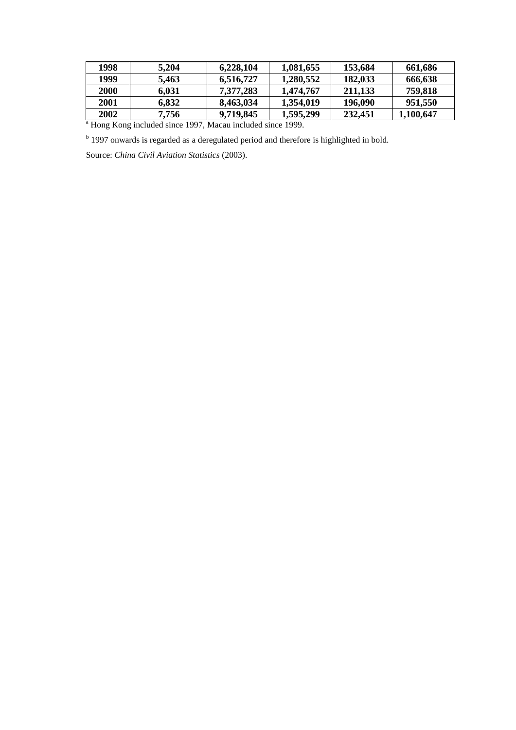| 1998 | 5.204 | 6,228,104 | 1,081,655 | 153,684 | 661.686   |
|------|-------|-----------|-----------|---------|-----------|
| 1999 | 5.463 | 6,516,727 | 1,280,552 | 182,033 | 666,638   |
| 2000 | 6.031 | 7,377,283 | 1,474,767 | 211,133 | 759,818   |
| 2001 | 6.832 | 8.463.034 | 1,354,019 | 196.090 | 951,550   |
| 2002 | 7,756 | 9,719,845 | 1.595.299 | 232,451 | 1,100,647 |

<sup>a</sup> Hong Kong included since 1997, Macau included since 1999.

<sup>b</sup> 1997 onwards is regarded as a deregulated period and therefore is highlighted in bold.

Source: *China Civil Aviation Statistics* (2003).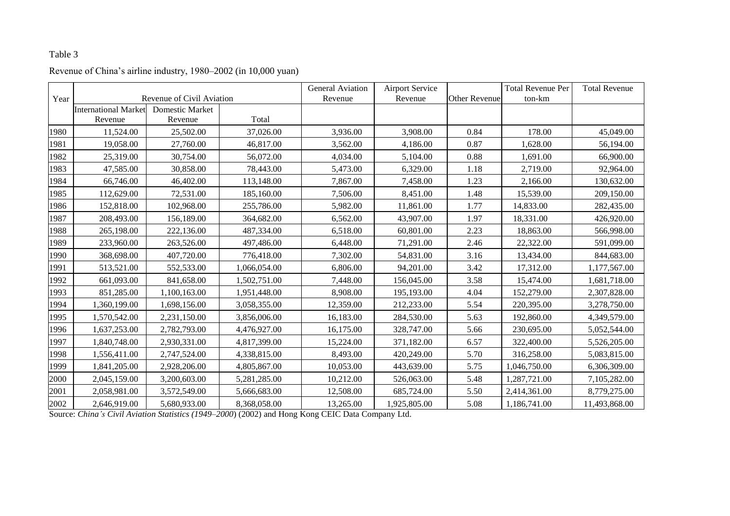## Revenue of China's airline industry, 1980–2002 (in 10,000 yuan)

| Year | Revenue of Civil Aviation   |                        | <b>General Aviation</b><br>Revenue | <b>Airport Service</b><br>Revenue | Other Revenue | <b>Total Revenue Per</b><br>ton-km | <b>Total Revenue</b> |               |
|------|-----------------------------|------------------------|------------------------------------|-----------------------------------|---------------|------------------------------------|----------------------|---------------|
|      | <b>International Market</b> | <b>Domestic Market</b> |                                    |                                   |               |                                    |                      |               |
|      | Revenue                     | Revenue                | Total                              |                                   |               |                                    |                      |               |
| 1980 | 11,524.00                   | 25,502.00              | 37,026.00                          | 3,936.00                          | 3,908.00      | 0.84                               | 178.00               | 45,049.00     |
| 1981 | 19,058.00                   | 27,760.00              | 46,817.00                          | 3,562.00                          | 4,186.00      | 0.87                               | 1,628.00             | 56,194.00     |
| 1982 | 25,319.00                   | 30,754.00              | 56,072.00                          | 4,034.00                          | 5,104.00      | 0.88                               | 1,691.00             | 66,900.00     |
| 1983 | 47,585.00                   | 30,858.00              | 78,443.00                          | 5,473.00                          | 6,329.00      | 1.18                               | 2,719.00             | 92,964.00     |
| 1984 | 66,746.00                   | 46,402.00              | 113,148.00                         | 7,867.00                          | 7,458.00      | 1.23                               | 2,166.00             | 130,632.00    |
| 1985 | 112,629.00                  | 72,531.00              | 185,160.00                         | 7,506.00                          | 8,451.00      | 1.48                               | 15,539.00            | 209,150.00    |
| 1986 | 152,818.00                  | 102,968.00             | 255,786.00                         | 5,982.00                          | 11,861.00     | 1.77                               | 14,833.00            | 282,435.00    |
| 1987 | 208,493.00                  | 156,189.00             | 364,682.00                         | 6,562.00                          | 43,907.00     | 1.97                               | 18,331.00            | 426,920.00    |
| 1988 | 265,198.00                  | 222,136.00             | 487,334.00                         | 6,518.00                          | 60,801.00     | 2.23                               | 18,863.00            | 566,998.00    |
| 1989 | 233,960.00                  | 263,526.00             | 497,486.00                         | 6,448.00                          | 71,291.00     | 2.46                               | 22,322.00            | 591,099.00    |
| 1990 | 368,698.00                  | 407,720.00             | 776,418.00                         | 7,302.00                          | 54,831.00     | 3.16                               | 13,434.00            | 844,683.00    |
| 1991 | 513,521.00                  | 552,533.00             | 1,066,054.00                       | 6,806.00                          | 94,201.00     | 3.42                               | 17,312.00            | 1,177,567.00  |
| 1992 | 661,093.00                  | 841,658.00             | 1,502,751.00                       | 7,448.00                          | 156,045.00    | 3.58                               | 15,474.00            | 1,681,718.00  |
| 1993 | 851,285.00                  | 1,100,163.00           | 1,951,448.00                       | 8,908.00                          | 195,193.00    | 4.04                               | 152,279.00           | 2,307,828.00  |
| 1994 | 1,360,199.00                | 1,698,156.00           | 3,058,355.00                       | 12,359.00                         | 212,233.00    | 5.54                               | 220,395.00           | 3,278,750.00  |
| 1995 | 1,570,542.00                | 2,231,150.00           | 3,856,006.00                       | 16,183.00                         | 284,530.00    | 5.63                               | 192,860.00           | 4,349,579.00  |
| 1996 | 1,637,253.00                | 2,782,793.00           | 4,476,927.00                       | 16,175.00                         | 328,747.00    | 5.66                               | 230,695.00           | 5,052,544.00  |
| 1997 | 1,840,748.00                | 2,930,331.00           | 4,817,399.00                       | 15,224.00                         | 371,182.00    | 6.57                               | 322,400.00           | 5,526,205.00  |
| 1998 | 1,556,411.00                | 2,747,524.00           | 4,338,815.00                       | 8,493.00                          | 420,249.00    | 5.70                               | 316,258.00           | 5,083,815.00  |
| 1999 | 1,841,205.00                | 2,928,206.00           | 4,805,867.00                       | 10,053.00                         | 443,639.00    | 5.75                               | 1,046,750.00         | 6,306,309.00  |
| 2000 | 2,045,159.00                | 3,200,603.00           | 5,281,285.00                       | 10,212.00                         | 526,063.00    | 5.48                               | 1,287,721.00         | 7,105,282.00  |
| 2001 | 2,058,981.00                | 3,572,549.00           | 5,666,683.00                       | 12,508.00                         | 685,724.00    | 5.50                               | 2,414,361.00         | 8,779,275.00  |
| 2002 | 2,646,919.00                | 5,680,933.00           | 8,368,058.00                       | 13,265.00                         | 1,925,805.00  | 5.08                               | 1,186,741.00         | 11,493,868.00 |

Source: *China's Civil Aviation Statistics (1949–2000*) (2002) and Hong Kong CEIC Data Company Ltd.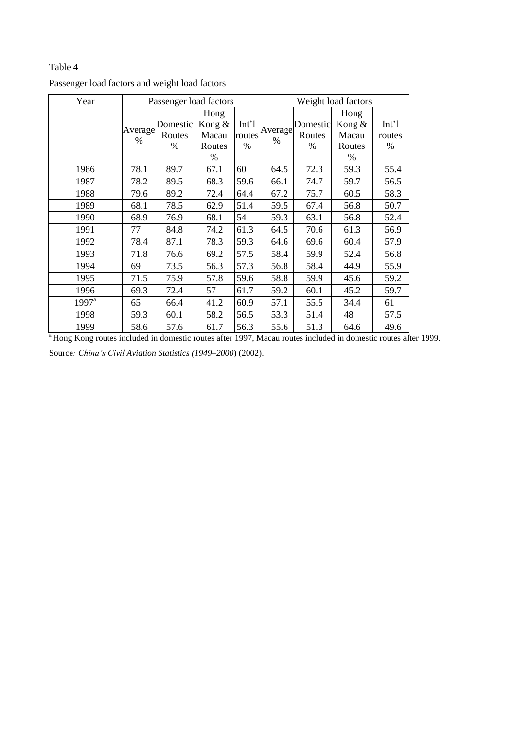# Passenger load factors and weight load factors

| Year              |                          |                         | Passenger load factors                 |                         | Weight load factors |                         |                                           |                         |
|-------------------|--------------------------|-------------------------|----------------------------------------|-------------------------|---------------------|-------------------------|-------------------------------------------|-------------------------|
|                   | Average<br>$\frac{0}{0}$ | Domestic<br>Routes<br>% | Hong<br>Kong &<br>Macau<br>Routes<br>% | Int'l<br>routes<br>$\%$ | Average<br>$\%$     | Domestic<br>Routes<br>% | Hong<br>Kong &<br>Macau<br>Routes<br>$\%$ | Int'l<br>routes<br>$\%$ |
| 1986              | 78.1                     | 89.7                    | 67.1                                   | 60                      | 64.5                | 72.3                    | 59.3                                      | 55.4                    |
| 1987              | 78.2                     | 89.5                    | 68.3                                   | 59.6                    | 66.1                | 74.7                    | 59.7                                      | 56.5                    |
| 1988              | 79.6                     | 89.2                    | 72.4                                   | 64.4                    | 67.2                | 75.7                    | 60.5                                      | 58.3                    |
| 1989              | 68.1                     | 78.5                    | 62.9                                   | 51.4                    | 59.5                | 67.4                    | 56.8                                      | 50.7                    |
| 1990              | 68.9                     | 76.9                    | 68.1                                   | 54                      | 59.3                | 63.1                    | 56.8                                      | 52.4                    |
| 1991              | 77                       | 84.8                    | 74.2                                   | 61.3                    | 64.5                | 70.6                    | 61.3                                      | 56.9                    |
| 1992              | 78.4                     | 87.1                    | 78.3                                   | 59.3                    | 64.6                | 69.6                    | 60.4                                      | 57.9                    |
| 1993              | 71.8                     | 76.6                    | 69.2                                   | 57.5                    | 58.4                | 59.9                    | 52.4                                      | 56.8                    |
| 1994              | 69                       | 73.5                    | 56.3                                   | 57.3                    | 56.8                | 58.4                    | 44.9                                      | 55.9                    |
| 1995              | 71.5                     | 75.9                    | 57.8                                   | 59.6                    | 58.8                | 59.9                    | 45.6                                      | 59.2                    |
| 1996              | 69.3                     | 72.4                    | 57                                     | 61.7                    | 59.2                | 60.1                    | 45.2                                      | 59.7                    |
| $1997^{\text{a}}$ | 65                       | 66.4                    | 41.2                                   | 60.9                    | 57.1                | 55.5                    | 34.4                                      | 61                      |
| 1998              | 59.3                     | 60.1                    | 58.2                                   | 56.5                    | 53.3                | 51.4                    | 48                                        | 57.5                    |
| 1999              | 58.6                     | 57.6                    | 61.7                                   | 56.3                    | 55.6                | 51.3                    | 64.6                                      | 49.6                    |

<sup>a</sup>Hong Kong routes included in domestic routes after 1997, Macau routes included in domestic routes after 1999. Source*: China's Civil Aviation Statistics (1949–2000*) (2002).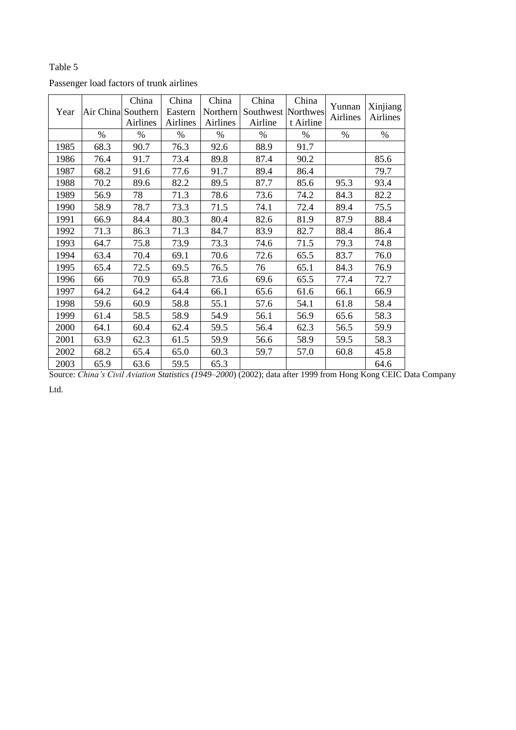|  | Passenger load factors of trunk airlines |  |  |  |  |
|--|------------------------------------------|--|--|--|--|
|--|------------------------------------------|--|--|--|--|

| Year | Air China Southern | China<br>Airlines | China<br>Eastern<br>Airlines | China<br>Northern<br>Airlines | China<br>Southwest<br>Airline | China<br><b>Northwes</b><br>t Airline | Yunnan<br>Airlines | Xinjiang<br>Airlines |
|------|--------------------|-------------------|------------------------------|-------------------------------|-------------------------------|---------------------------------------|--------------------|----------------------|
|      | $\%$               | $\%$              | $\%$                         | $\%$                          | $\%$                          | $\%$                                  | $\%$               | $\%$                 |
| 1985 | 68.3               | 90.7              | 76.3                         | 92.6                          | 88.9                          | 91.7                                  |                    |                      |
| 1986 | 76.4               | 91.7              | 73.4                         | 89.8                          | 87.4                          | 90.2                                  |                    | 85.6                 |
| 1987 | 68.2               | 91.6              | 77.6                         | 91.7                          | 89.4                          | 86.4                                  |                    | 79.7                 |
| 1988 | 70.2               | 89.6              | 82.2                         | 89.5                          | 87.7                          | 85.6                                  | 95.3               | 93.4                 |
| 1989 | 56.9               | 78                | 71.3                         | 78.6                          | 73.6                          | 74.2                                  | 84.3               | 82.2                 |
| 1990 | 58.9               | 78.7              | 73.3                         | 71.5                          | 74.1                          | 72.4                                  | 89.4               | 75.5                 |
| 1991 | 66.9               | 84.4              | 80.3                         | 80.4                          | 82.6                          | 81.9                                  | 87.9               | 88.4                 |
| 1992 | 71.3               | 86.3              | 71.3                         | 84.7                          | 83.9                          | 82.7                                  | 88.4               | 86.4                 |
| 1993 | 64.7               | 75.8              | 73.9                         | 73.3                          | 74.6                          | 71.5                                  | 79.3               | 74.8                 |
| 1994 | 63.4               | 70.4              | 69.1                         | 70.6                          | 72.6                          | 65.5                                  | 83.7               | 76.0                 |
| 1995 | 65.4               | 72.5              | 69.5                         | 76.5                          | 76                            | 65.1                                  | 84.3               | 76.9                 |
| 1996 | 66                 | 70.9              | 65.8                         | 73.6                          | 69.6                          | 65.5                                  | 77.4               | 72.7                 |
| 1997 | 64.2               | 64.2              | 64.4                         | 66.1                          | 65.6                          | 61.6                                  | 66.1               | 66.9                 |
| 1998 | 59.6               | 60.9              | 58.8                         | 55.1                          | 57.6                          | 54.1                                  | 61.8               | 58.4                 |
| 1999 | 61.4               | 58.5              | 58.9                         | 54.9                          | 56.1                          | 56.9                                  | 65.6               | 58.3                 |
| 2000 | 64.1               | 60.4              | 62.4                         | 59.5                          | 56.4                          | 62.3                                  | 56.5               | 59.9                 |
| 2001 | 63.9               | 62.3              | 61.5                         | 59.9                          | 56.6                          | 58.9                                  | 59.5               | 58.3                 |
| 2002 | 68.2               | 65.4              | 65.0                         | 60.3                          | 59.7                          | 57.0                                  | 60.8               | 45.8                 |
| 2003 | 65.9               | 63.6              | 59.5                         | 65.3                          |                               |                                       |                    | 64.6                 |

Source: *China's Civil Aviation Statistics (1949–2000*) (2002); data after 1999 from Hong Kong CEIC Data Company

Ltd.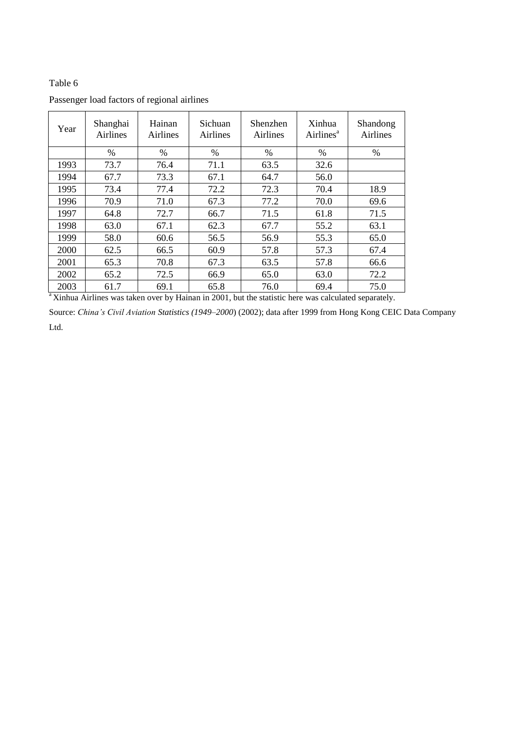| Year | Shanghai<br><b>Airlines</b> | Hainan<br><b>Airlines</b> | <b>Sichuan</b><br><b>Airlines</b> | Shenzhen<br>Airlines | Xinhua<br>Airlines <sup><math>a</math></sup> | Shandong<br>Airlines |
|------|-----------------------------|---------------------------|-----------------------------------|----------------------|----------------------------------------------|----------------------|
|      | $\%$                        | %                         | %                                 | %                    | $\frac{0}{0}$                                | %                    |
| 1993 | 73.7                        | 76.4                      | 71.1                              | 63.5                 | 32.6                                         |                      |
| 1994 | 67.7                        | 73.3                      | 67.1                              | 64.7                 | 56.0                                         |                      |
| 1995 | 73.4                        | 77.4                      | 72.2                              | 72.3                 | 70.4                                         | 18.9                 |
| 1996 | 70.9                        | 71.0                      | 67.3                              | 77.2                 | 70.0                                         | 69.6                 |
| 1997 | 64.8                        | 72.7                      | 66.7                              | 71.5                 | 61.8                                         | 71.5                 |
| 1998 | 63.0                        | 67.1                      | 62.3                              | 67.7                 | 55.2                                         | 63.1                 |
| 1999 | 58.0                        | 60.6                      | 56.5                              | 56.9                 | 55.3                                         | 65.0                 |
| 2000 | 62.5                        | 66.5                      | 60.9                              | 57.8                 | 57.3                                         | 67.4                 |
| 2001 | 65.3                        | 70.8                      | 67.3                              | 63.5                 | 57.8                                         | 66.6                 |
| 2002 | 65.2                        | 72.5                      | 66.9                              | 65.0                 | 63.0                                         | 72.2                 |
| 2003 | 61.7                        | 69.1                      | 65.8                              | 76.0                 | 69.4                                         | 75.0                 |

Passenger load factors of regional airlines

<sup>a</sup>Xinhua Airlines was taken over by Hainan in 2001, but the statistic here was calculated separately.

Source: *China's Civil Aviation Statistics (1949–2000*) (2002); data after 1999 from Hong Kong CEIC Data Company Ltd.